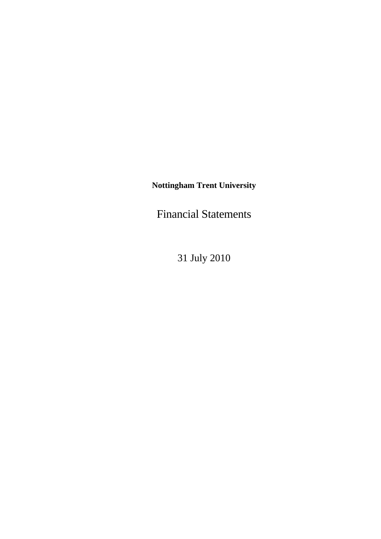**Nottingham Trent University** 

Financial Statements

31 July 2010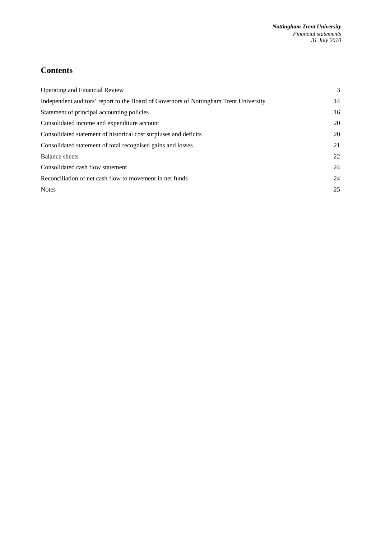# **Contents**

| Operating and Financial Review                                                        | 3  |
|---------------------------------------------------------------------------------------|----|
| Independent auditors' report to the Board of Governors of Nottingham Trent University | 14 |
| Statement of principal accounting policies                                            | 16 |
| Consolidated income and expenditure account                                           | 20 |
| Consolidated statement of historical cost surpluses and deficits                      | 20 |
| Consolidated statement of total recognised gains and losses                           | 21 |
| Balance sheets                                                                        | 22 |
| Consolidated cash flow statement                                                      | 24 |
| Reconciliation of net cash flow to movement in net funds                              | 24 |
| <b>Notes</b>                                                                          | 25 |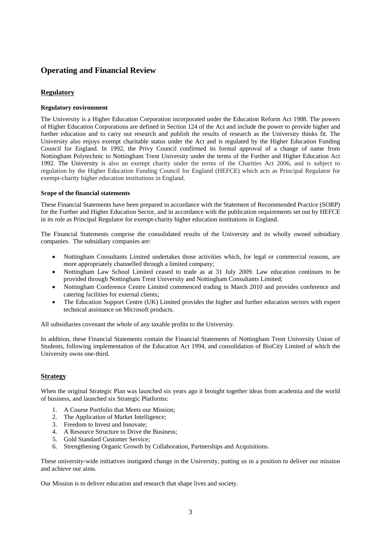# **Operating and Financial Review**

# **Regulatory**

#### **Regulatory environment**

The University is a Higher Education Corporation incorporated under the Education Reform Act 1988. The powers of Higher Education Corporations are defined in Section 124 of the Act and include the power to provide higher and further education and to carry out research and publish the results of research as the University thinks fit. The University also enjoys exempt charitable status under the Act and is regulated by the Higher Education Funding Council for England. In 1992, the Privy Council confirmed its formal approval of a change of name from Nottingham Polytechnic to Nottingham Trent University under the terms of the Further and Higher Education Act 1992. The University is also an exempt charity under the terms of the Charities Act 2006, and is subject to regulation by the Higher Education Funding Council for England (HEFCE) which acts as Principal Regulator for exempt-charity higher education institutions in England.

#### **Scope of the financial statements**

These Financial Statements have been prepared in accordance with the Statement of Recommended Practice (SORP) for the Further and Higher Education Sector, and in accordance with the publication requirements set out by HEFCE in its role as Principal Regulator for exempt-charity higher education institutions in England.

The Financial Statements comprise the consolidated results of the University and its wholly owned subsidiary companies. The subsidiary companies are:

- Nottingham Consultants Limited undertakes those activities which, for legal or commercial reasons, are more appropriately channelled through a limited company;
- Nottingham Law School Limited ceased to trade as at 31 July 2009. Law education continues to be provided through Nottingham Trent University and Nottingham Consultants Limited;
- Nottingham Conference Centre Limited commenced trading in March 2010 and provides conference and catering facilities for external clients;
- The Education Support Centre (UK) Limited provides the higher and further education sectors with expert technical assistance on Microsoft products.

All subsidiaries covenant the whole of any taxable profits to the University.

In addition, these Financial Statements contain the Financial Statements of Nottingham Trent University Union of Students, following implementation of the Education Act 1994, and consolidation of BioCity Limited of which the University owns one-third.

## **Strategy**

When the original Strategic Plan was launched six years ago it brought together ideas from academia and the world of business, and launched six Strategic Platforms:

- 1. A Course Portfolio that Meets our Mission;
- 2. The Application of Market Intelligence;
- 3. Freedom to Invest and Innovate;
- 4. A Resource Structure to Drive the Business;
- 5. Gold Standard Customer Service;
- 6. Strengthening Organic Growth by Collaboration, Partnerships and Acquisitions.

These university-wide initiatives instigated change in the University, putting us in a position to deliver our mission and achieve our aims.

Our Mission is to deliver education and research that shape lives and society.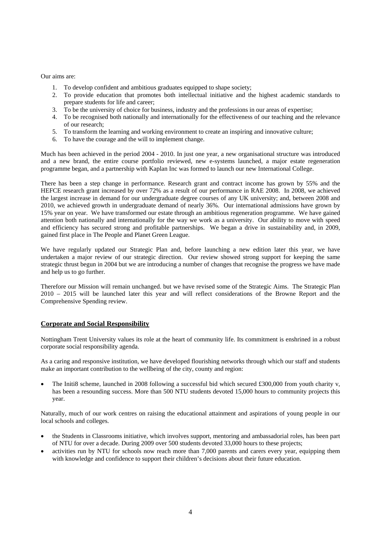Our aims are:

- 1. To develop confident and ambitious graduates equipped to shape society;
- 2. To provide education that promotes both intellectual initiative and the highest academic standards to prepare students for life and career;
- 3. To be the university of choice for business, industry and the professions in our areas of expertise;
- 4. To be recognised both nationally and internationally for the effectiveness of our teaching and the relevance of our research;
- 5. To transform the learning and working environment to create an inspiring and innovative culture;
- 6. To have the courage and the will to implement change.

Much has been achieved in the period 2004 - 2010. In just one year, a new organisational structure was introduced and a new brand, the entire course portfolio reviewed, new e-systems launched, a major estate regeneration programme began, and a partnership with Kaplan Inc was formed to launch our new International College.

There has been a step change in performance. Research grant and contract income has grown by 55% and the HEFCE research grant increased by over 72% as a result of our performance in RAE 2008. In 2008, we achieved the largest increase in demand for our undergraduate degree courses of any UK university; and, between 2008 and 2010, we achieved growth in undergraduate demand of nearly 36%. Our international admissions have grown by 15% year on year. We have transformed our estate through an ambitious regeneration programme. We have gained attention both nationally and internationally for the way we work as a university. Our ability to move with speed and efficiency has secured strong and profitable partnerships. We began a drive in sustainability and, in 2009, gained first place in The People and Planet Green League.

We have regularly updated our Strategic Plan and, before launching a new edition later this year, we have undertaken a major review of our strategic direction. Our review showed strong support for keeping the same strategic thrust begun in 2004 but we are introducing a number of changes that recognise the progress we have made and help us to go further.

Therefore our Mission will remain unchanged. but we have revised some of the Strategic Aims. The Strategic Plan 2010 – 2015 will be launched later this year and will reflect considerations of the Browne Report and the Comprehensive Spending review.

#### **Corporate and Social Responsibility**

Nottingham Trent University values its role at the heart of community life. Its commitment is enshrined in a robust corporate social responsibility agenda.

As a caring and responsive institution, we have developed flourishing networks through which our staff and students make an important contribution to the wellbeing of the city, county and region:

• The Initi8 scheme, launched in 2008 following a successful bid which secured £300,000 from youth charity v, has been a resounding success. More than 500 NTU students devoted 15,000 hours to community projects this year.

Naturally, much of our work centres on raising the educational attainment and aspirations of young people in our local schools and colleges.

- the Students in Classrooms initiative, which involves support, mentoring and ambassadorial roles, has been part of NTU for over a decade. During 2009 over 500 students devoted 33,000 hours to these projects;
- activities run by NTU for schools now reach more than 7,000 parents and carers every year, equipping them with knowledge and confidence to support their children's decisions about their future education.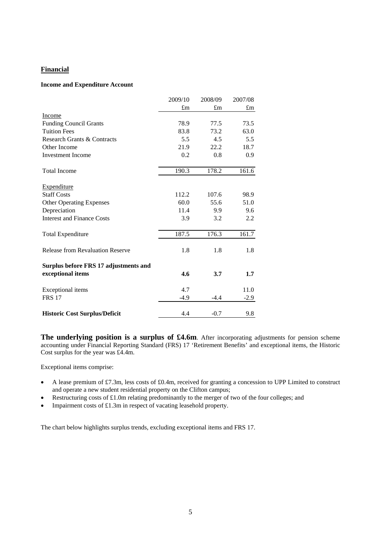# **Financial**

#### **Income and Expenditure Account**

|                                         | 2009/10     | 2008/09 | 2007/08     |
|-----------------------------------------|-------------|---------|-------------|
|                                         | $\pounds$ m | £m      | $\pounds$ m |
| Income                                  |             |         |             |
| <b>Funding Council Grants</b>           | 78.9        | 77.5    | 73.5        |
| <b>Tuition Fees</b>                     | 83.8        | 73.2    | 63.0        |
| Research Grants & Contracts             | 5.5         | 4.5     | 5.5         |
| Other Income                            | 21.9        | 22.2    | 18.7        |
| <b>Investment Income</b>                | 0.2         | 0.8     | 0.9         |
| <b>Total Income</b>                     | 190.3       | 178.2   | 161.6       |
| Expenditure                             |             |         |             |
| <b>Staff Costs</b>                      | 112.2       | 107.6   | 98.9        |
| <b>Other Operating Expenses</b>         | 60.0        | 55.6    | 51.0        |
| Depreciation                            | 11.4        | 9.9     | 9.6         |
| <b>Interest and Finance Costs</b>       | 3.9         | 3.2     | 2.2         |
| <b>Total Expenditure</b>                | 187.5       | 176.3   | 161.7       |
| <b>Release from Revaluation Reserve</b> | 1.8         | 1.8     | 1.8         |
| Surplus before FRS 17 adjustments and   |             |         |             |
| exceptional items                       | 4.6         | 3.7     | 1.7         |
| Exceptional items                       | 4.7         |         | 11.0        |
| <b>FRS 17</b>                           | $-4.9$      | $-4.4$  | $-2.9$      |
| <b>Historic Cost Surplus/Deficit</b>    | 4.4         | $-0.7$  | 9.8         |

**The underlying position is a surplus of £4.6m**. After incorporating adjustments for pension scheme accounting under Financial Reporting Standard (FRS) 17 'Retirement Benefits' and exceptional items, the Historic Cost surplus for the year was £4.4m.

Exceptional items comprise:

- A lease premium of £7.3m, less costs of £0.4m, received for granting a concession to UPP Limited to construct and operate a new student residential property on the Clifton campus;
- Restructuring costs of £1.0m relating predominantly to the merger of two of the four colleges; and
- Impairment costs of £1.3m in respect of vacating leasehold property.

The chart below highlights surplus trends, excluding exceptional items and FRS 17.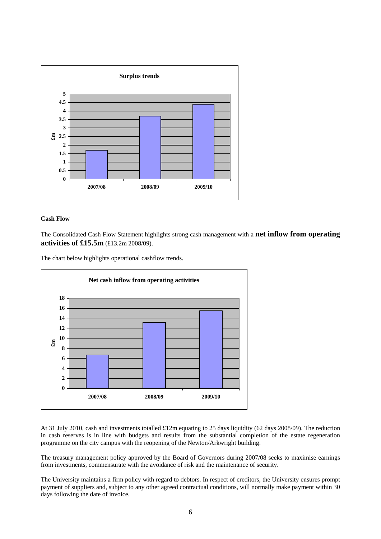

#### **Cash Flow**

The Consolidated Cash Flow Statement highlights strong cash management with a **net inflow from operating activities of £15.5m** (£13.2m 2008/09).

The chart below highlights operational cashflow trends.



At 31 July 2010, cash and investments totalled £12m equating to 25 days liquidity (62 days 2008/09). The reduction in cash reserves is in line with budgets and results from the substantial completion of the estate regeneration programme on the city campus with the reopening of the Newton/Arkwright building.

The treasury management policy approved by the Board of Governors during 2007/08 seeks to maximise earnings from investments, commensurate with the avoidance of risk and the maintenance of security.

The University maintains a firm policy with regard to debtors. In respect of creditors, the University ensures prompt payment of suppliers and, subject to any other agreed contractual conditions, will normally make payment within 30 days following the date of invoice.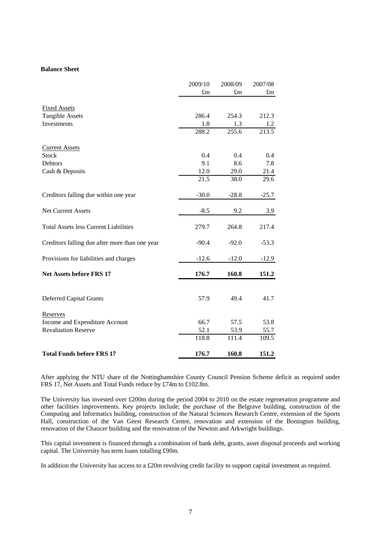#### **Balance Sheet**

|                                                | 2009/10 | 2008/09     | 2007/08     |
|------------------------------------------------|---------|-------------|-------------|
|                                                | £m      | $\pounds m$ | $\pounds$ m |
| <b>Fixed Assets</b>                            |         |             |             |
| <b>Tangible Assets</b>                         | 286.4   | 254.3       | 212.3       |
| Investments                                    | 1.8     | 1.3         | 1.2         |
|                                                | 288.2   | 255.6       | 213.5       |
| <b>Current Assets</b>                          |         |             |             |
| <b>Stock</b>                                   | 0.4     | 0.4         | $0.4\,$     |
| Debtors                                        | 9.1     | 8.6         | 7.8         |
| Cash & Deposits                                | 12.0    | 29.0        | 21.4        |
|                                                | 21.5    | 38.0        | 29.6        |
| Creditors falling due within one year          | $-30.0$ | $-28.8$     | $-25.7$     |
| <b>Net Current Assets</b>                      | $-8.5$  | 9.2         | 3.9         |
| <b>Total Assets less Current Liabilities</b>   | 279.7   | 264.8       | 217.4       |
| Creditors falling due after more than one year | $-90.4$ | $-92.0$     | $-53.3$     |
| Provisions for liabilities and charges         | $-12.6$ | $-12.0$     | $-12.9$     |
| <b>Net Assets before FRS 17</b>                | 176.7   | 160.8       | 151.2       |
|                                                |         |             |             |
| <b>Deferred Capital Grants</b>                 | 57.9    | 49.4        | 41.7        |
| Reserves                                       |         |             |             |
| Income and Expenditure Account                 | 66.7    | 57.5        | 53.8        |
| <b>Revaluation Reserve</b>                     | 52.1    | 53.9        | 55.7        |
|                                                | 118.8   | 111.4       | 109.5       |
| <b>Total Funds before FRS 17</b>               | 176.7   | 160.8       | 151.2       |

After applying the NTU share of the Nottinghamshire County Council Pension Scheme deficit as required under FRS 17, Net Assets and Total Funds reduce by £74m to £102.8m.

The University has invested over £200m during the period 2004 to 2010 on the estate regeneration programme and other facilities improvements. Key projects include; the purchase of the Belgrave building, construction of the Computing and Informatics building, construction of the Natural Sciences Research Centre, extension of the Sports Hall, construction of the Van Geest Research Centre, renovation and extension of the Bonington building, renovation of the Chaucer building and the renovation of the Newton and Arkwright buildings.

This capital investment is financed through a combination of bank debt, grants, asset disposal proceeds and working capital. The University has term loans totalling £90m.

In addition the University has access to a £20m revolving credit facility to support capital investment as required.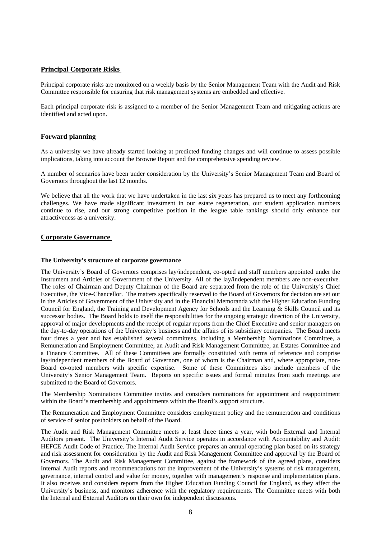## **Principal Corporate Risks**

Principal corporate risks are monitored on a weekly basis by the Senior Management Team with the Audit and Risk Committee responsible for ensuring that risk management systems are embedded and effective.

Each principal corporate risk is assigned to a member of the Senior Management Team and mitigating actions are identified and acted upon.

### **Forward planning**

As a university we have already started looking at predicted funding changes and will continue to assess possible implications, taking into account the Browne Report and the comprehensive spending review.

A number of scenarios have been under consideration by the University's Senior Management Team and Board of Governors throughout the last 12 months.

We believe that all the work that we have undertaken in the last six years has prepared us to meet any forthcoming challenges. We have made significant investment in our estate regeneration, our student application numbers continue to rise, and our strong competitive position in the league table rankings should only enhance our attractiveness as a university.

#### **Corporate Governance**

#### **The University's structure of corporate governance**

The University's Board of Governors comprises lay/independent, co-opted and staff members appointed under the Instrument and Articles of Government of the University. All of the lay/independent members are non-executive. The roles of Chairman and Deputy Chairman of the Board are separated from the role of the University's Chief Executive, the Vice-Chancellor. The matters specifically reserved to the Board of Governors for decision are set out in the Articles of Government of the University and in the Financial Memoranda with the Higher Education Funding Council for England, the Training and Development Agency for Schools and the Learning & Skills Council and its successor bodies. The Board holds to itself the responsibilities for the ongoing strategic direction of the University, approval of major developments and the receipt of regular reports from the Chief Executive and senior managers on the day-to-day operations of the University's business and the affairs of its subsidiary companies. The Board meets four times a year and has established several committees, including a Membership Nominations Committee, a Remuneration and Employment Committee, an Audit and Risk Management Committee, an Estates Committee and a Finance Committee. All of these Committees are formally constituted with terms of reference and comprise lay/independent members of the Board of Governors, one of whom is the Chairman and, where appropriate, non-Board co-opted members with specific expertise. Some of these Committees also include members of the University's Senior Management Team. Reports on specific issues and formal minutes from such meetings are submitted to the Board of Governors.

The Membership Nominations Committee invites and considers nominations for appointment and reappointment within the Board's membership and appointments within the Board's support structure.

The Remuneration and Employment Committee considers employment policy and the remuneration and conditions of service of senior postholders on behalf of the Board.

The Audit and Risk Management Committee meets at least three times a year, with both External and Internal Auditors present. The University's Internal Audit Service operates in accordance with Accountability and Audit: HEFCE Audit Code of Practice. The Internal Audit Service prepares an annual operating plan based on its strategy and risk assessment for consideration by the Audit and Risk Management Committee and approval by the Board of Governors. The Audit and Risk Management Committee, against the framework of the agreed plans, considers Internal Audit reports and recommendations for the improvement of the University's systems of risk management, governance, internal control and value for money, together with management's response and implementation plans. It also receives and considers reports from the Higher Education Funding Council for England, as they affect the University's business, and monitors adherence with the regulatory requirements. The Committee meets with both the Internal and External Auditors on their own for independent discussions.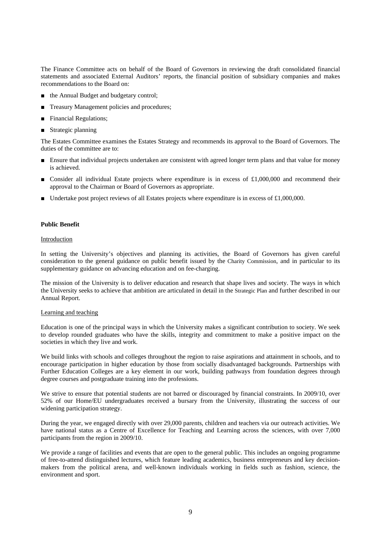The Finance Committee acts on behalf of the Board of Governors in reviewing the draft consolidated financial statements and associated External Auditors' reports, the financial position of subsidiary companies and makes recommendations to the Board on:

- the Annual Budget and budgetary control;
- Treasury Management policies and procedures;
- Financial Regulations;
- Strategic planning

The Estates Committee examines the Estates Strategy and recommends its approval to the Board of Governors. The duties of the committee are to:

- Ensure that individual projects undertaken are consistent with agreed longer term plans and that value for money is achieved.
- Consider all individual Estate projects where expenditure is in excess of £1,000,000 and recommend their approval to the Chairman or Board of Governors as appropriate.
- Undertake post project reviews of all Estates projects where expenditure is in excess of £1,000,000.

#### **Public Benefit**

#### Introduction

In setting the University's objectives and planning its activities, the Board of Governors has given careful consideration to the general guidance on public benefit issued by the Charity Commission, and in particular to its supplementary guidance on advancing education and on fee-charging.

The mission of the University is to deliver education and research that shape lives and society. The ways in which the University seeks to achieve that ambition are articulated in detail in the Strategic Plan and further described in our Annual Report.

#### Learning and teaching

Education is one of the principal ways in which the University makes a significant contribution to society. We seek to develop rounded graduates who have the skills, integrity and commitment to make a positive impact on the societies in which they live and work.

We build links with schools and colleges throughout the region to raise aspirations and attainment in schools, and to encourage participation in higher education by those from socially disadvantaged backgrounds. Partnerships with Further Education Colleges are a key element in our work, building pathways from foundation degrees through degree courses and postgraduate training into the professions.

We strive to ensure that potential students are not barred or discouraged by financial constraints. In 2009/10, over 52% of our Home/EU undergraduates received a bursary from the University, illustrating the success of our widening participation strategy.

During the year, we engaged directly with over 29,000 parents, children and teachers via our outreach activities. We have national status as a Centre of Excellence for Teaching and Learning across the sciences, with over 7,000 participants from the region in 2009/10.

We provide a range of facilities and events that are open to the general public. This includes an ongoing programme of free-to-attend distinguished lectures, which feature leading academics, business entrepreneurs and key decisionmakers from the political arena, and well-known individuals working in fields such as fashion, science, the environment and sport.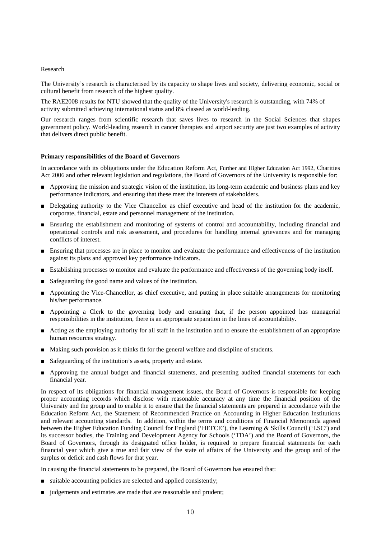#### Research

The University's research is characterised by its capacity to shape lives and society, delivering economic, social or cultural benefit from research of the highest quality.

The RAE2008 results for NTU showed that the quality of the University's research is outstanding, with 74% of activity submitted achieving international status and 8% classed as world-leading.

Our research ranges from scientific research that saves lives to research in the Social Sciences that shapes government policy. World-leading research in cancer therapies and airport security are just two examples of activity that delivers direct public benefit.

#### **Primary responsibilities of the Board of Governors**

In accordance with its obligations under the Education Reform Act, Further and Higher Education Act 1992, Charities Act 2006 and other relevant legislation and regulations, the Board of Governors of the University is responsible for:

- Approving the mission and strategic vision of the institution, its long-term academic and business plans and key performance indicators, and ensuring that these meet the interests of stakeholders.
- Delegating authority to the Vice Chancellor as chief executive and head of the institution for the academic, corporate, financial, estate and personnel management of the institution.
- Ensuring the establishment and monitoring of systems of control and accountability, including financial and operational controls and risk assessment, and procedures for handling internal grievances and for managing conflicts of interest.
- Ensuring that processes are in place to monitor and evaluate the performance and effectiveness of the institution against its plans and approved key performance indicators.
- Establishing processes to monitor and evaluate the performance and effectiveness of the governing body itself.
- Safeguarding the good name and values of the institution.
- Appointing the Vice-Chancellor, as chief executive, and putting in place suitable arrangements for monitoring his/her performance.
- Appointing a Clerk to the governing body and ensuring that, if the person appointed has managerial responsibilities in the institution, there is an appropriate separation in the lines of accountability.
- Acting as the employing authority for all staff in the institution and to ensure the establishment of an appropriate human resources strategy.
- Making such provision as it thinks fit for the general welfare and discipline of students.
- Safeguarding of the institution's assets, property and estate.
- Approving the annual budget and financial statements, and presenting audited financial statements for each financial year.

In respect of its obligations for financial management issues, the Board of Governors is responsible for keeping proper accounting records which disclose with reasonable accuracy at any time the financial position of the University and the group and to enable it to ensure that the financial statements are prepared in accordance with the Education Reform Act, the Statement of Recommended Practice on Accounting in Higher Education Institutions and relevant accounting standards. In addition, within the terms and conditions of Financial Memoranda agreed between the Higher Education Funding Council for England ('HEFCE'), the Learning & Skills Council ('LSC') and its successor bodies, the Training and Development Agency for Schools ('TDA') and the Board of Governors, the Board of Governors, through its designated office holder, is required to prepare financial statements for each financial year which give a true and fair view of the state of affairs of the University and the group and of the surplus or deficit and cash flows for that year.

In causing the financial statements to be prepared, the Board of Governors has ensured that:

- suitable accounting policies are selected and applied consistently;
- judgements and estimates are made that are reasonable and prudent;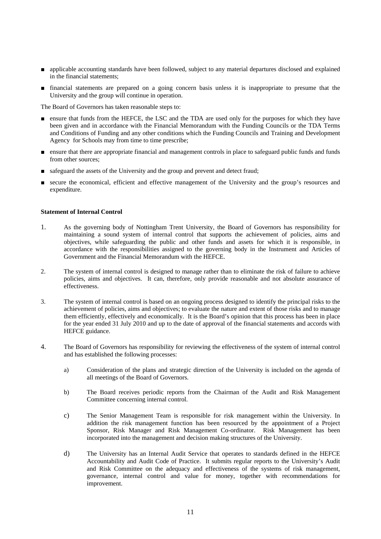- applicable accounting standards have been followed, subject to any material departures disclosed and explained in the financial statements;
- financial statements are prepared on a going concern basis unless it is inappropriate to presume that the University and the group will continue in operation.

The Board of Governors has taken reasonable steps to:

- ensure that funds from the HEFCE, the LSC and the TDA are used only for the purposes for which they have been given and in accordance with the Financial Memorandum with the Funding Councils or the TDA Terms and Conditions of Funding and any other conditions which the Funding Councils and Training and Development Agency for Schools may from time to time prescribe;
- ensure that there are appropriate financial and management controls in place to safeguard public funds and funds from other sources;
- safeguard the assets of the University and the group and prevent and detect fraud;
- secure the economical, efficient and effective management of the University and the group's resources and expenditure.

#### **Statement of Internal Control**

- 1. As the governing body of Nottingham Trent University, the Board of Governors has responsibility for maintaining a sound system of internal control that supports the achievement of policies, aims and objectives, while safeguarding the public and other funds and assets for which it is responsible, in accordance with the responsibilities assigned to the governing body in the Instrument and Articles of Government and the Financial Memorandum with the HEFCE.
- 2. The system of internal control is designed to manage rather than to eliminate the risk of failure to achieve policies, aims and objectives. It can, therefore, only provide reasonable and not absolute assurance of effectiveness.
- 3. The system of internal control is based on an ongoing process designed to identify the principal risks to the achievement of policies, aims and objectives; to evaluate the nature and extent of those risks and to manage them efficiently, effectively and economically. It is the Board's opinion that this process has been in place for the year ended 31 July 2010 and up to the date of approval of the financial statements and accords with HEFCE guidance.
- 4. The Board of Governors has responsibility for reviewing the effectiveness of the system of internal control and has established the following processes:
	- a) Consideration of the plans and strategic direction of the University is included on the agenda of all meetings of the Board of Governors.
	- b) The Board receives periodic reports from the Chairman of the Audit and Risk Management Committee concerning internal control.
	- c) The Senior Management Team is responsible for risk management within the University. In addition the risk management function has been resourced by the appointment of a Project Sponsor, Risk Manager and Risk Management Co-ordinator. Risk Management has been incorporated into the management and decision making structures of the University.
	- d) The University has an Internal Audit Service that operates to standards defined in the HEFCE Accountability and Audit Code of Practice. It submits regular reports to the University's Audit and Risk Committee on the adequacy and effectiveness of the systems of risk management, governance, internal control and value for money, together with recommendations for improvement.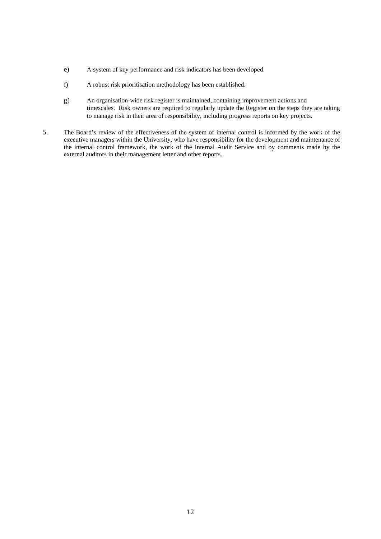- e) A system of key performance and risk indicators has been developed.
- f) A robust risk prioritisation methodology has been established.
- g) An organisation-wide risk register is maintained, containing improvement actions and timescales. Risk owners are required to regularly update the Register on the steps they are taking to manage risk in their area of responsibility, including progress reports on key projects.
- 5. The Board's review of the effectiveness of the system of internal control is informed by the work of the executive managers within the University, who have responsibility for the development and maintenance of the internal control framework, the work of the Internal Audit Service and by comments made by the external auditors in their management letter and other reports.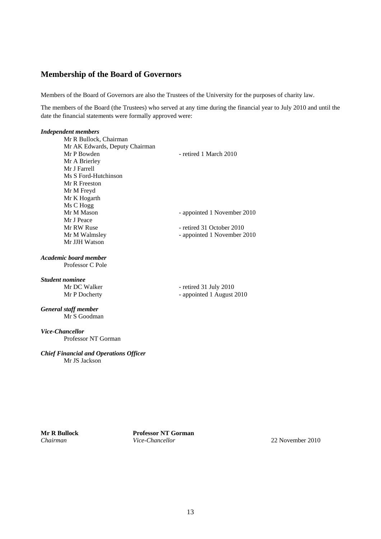# **Membership of the Board of Governors**

Members of the Board of Governors are also the Trustees of the University for the purposes of charity law.

The members of the Board (the Trustees) who served at any time during the financial year to July 2010 and until the date the financial statements were formally approved were:

#### *Independent members*

Mr R Bullock, Chairman Mr AK Edwards, Deputy Chairman Mr P Bowden - retired 1 March 2010 Mr A Brierley Mr J Farrell Ms S Ford-Hutchinson Mr R Freeston Mr M Freyd Mr K Hogarth Ms C Hogg Mr M Mason - appointed 1 November 2010 Mr J Peace Mr RW Ruse - retired 31 October 2010 Mr M Walmsley - appointed 1 November 2010 Mr JJH Watson

# *Academic board member*

Professor C Pole

#### *Student nominee*

Mr DC Walker - retired 31 July 2010 Mr P Docherty - appointed 1 August 2010

#### *General staff member*  Mr S Goodman

*Vice-Chancellor* 

Professor NT Gorman

#### *Chief Financial and Operations Officer* Mr JS Jackson

**Mr R Bullock Professor NT Gorman**  *Chairman Vice-Chancellor* 22 November 2010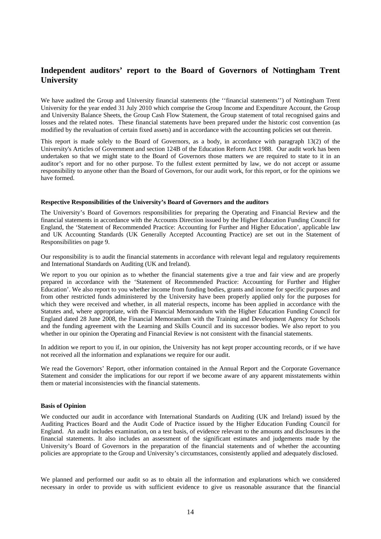# **Independent auditors' report to the Board of Governors of Nottingham Trent University**

We have audited the Group and University financial statements (the ''financial statements'') of Nottingham Trent University for the year ended 31 July 2010 which comprise the Group Income and Expenditure Account, the Group and University Balance Sheets, the Group Cash Flow Statement, the Group statement of total recognised gains and losses and the related notes. These financial statements have been prepared under the historic cost convention (as modified by the revaluation of certain fixed assets) and in accordance with the accounting policies set out therein.

This report is made solely to the Board of Governors, as a body, in accordance with paragraph 13(2) of the University's Articles of Government and section 124B of the Education Reform Act 1988. Our audit work has been undertaken so that we might state to the Board of Governors those matters we are required to state to it in an auditor's report and for no other purpose. To the fullest extent permitted by law, we do not accept or assume responsibility to anyone other than the Board of Governors, for our audit work, for this report, or for the opinions we have formed.

#### **Respective Responsibilities of the University's Board of Governors and the auditors**

The University's Board of Governors responsibilities for preparing the Operating and Financial Review and the financial statements in accordance with the Accounts Direction issued by the Higher Education Funding Council for England, the 'Statement of Recommended Practice: Accounting for Further and Higher Education', applicable law and UK Accounting Standards (UK Generally Accepted Accounting Practice) are set out in the Statement of Responsibilities on page 9.

Our responsibility is to audit the financial statements in accordance with relevant legal and regulatory requirements and International Standards on Auditing (UK and Ireland).

We report to you our opinion as to whether the financial statements give a true and fair view and are properly prepared in accordance with the 'Statement of Recommended Practice: Accounting for Further and Higher Education'. We also report to you whether income from funding bodies, grants and income for specific purposes and from other restricted funds administered by the University have been properly applied only for the purposes for which they were received and whether, in all material respects, income has been applied in accordance with the Statutes and, where appropriate, with the Financial Memorandum with the Higher Education Funding Council for England dated 28 June 2008, the Financial Memorandum with the Training and Development Agency for Schools and the funding agreement with the Learning and Skills Council and its successor bodies. We also report to you whether in our opinion the Operating and Financial Review is not consistent with the financial statements.

In addition we report to you if, in our opinion, the University has not kept proper accounting records, or if we have not received all the information and explanations we require for our audit.

We read the Governors' Report, other information contained in the Annual Report and the Corporate Governance Statement and consider the implications for our report if we become aware of any apparent misstatements within them or material inconsistencies with the financial statements.

#### **Basis of Opinion**

We conducted our audit in accordance with International Standards on Auditing (UK and Ireland) issued by the Auditing Practices Board and the Audit Code of Practice issued by the Higher Education Funding Council for England. An audit includes examination, on a test basis, of evidence relevant to the amounts and disclosures in the financial statements. It also includes an assessment of the significant estimates and judgements made by the University's Board of Governors in the preparation of the financial statements and of whether the accounting policies are appropriate to the Group and University's circumstances, consistently applied and adequately disclosed.

We planned and performed our audit so as to obtain all the information and explanations which we considered necessary in order to provide us with sufficient evidence to give us reasonable assurance that the financial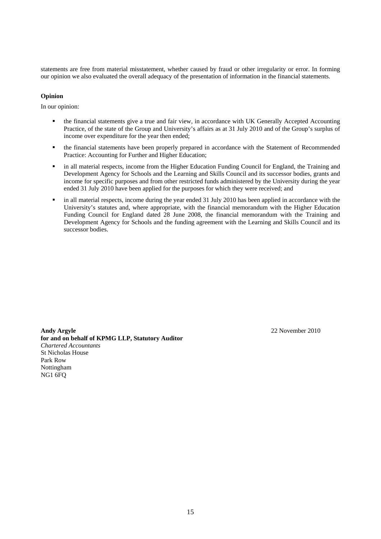statements are free from material misstatement, whether caused by fraud or other irregularity or error. In forming our opinion we also evaluated the overall adequacy of the presentation of information in the financial statements.

#### **Opinion**

In our opinion:

- the financial statements give a true and fair view, in accordance with UK Generally Accepted Accounting Practice, of the state of the Group and University's affairs as at 31 July 2010 and of the Group's surplus of income over expenditure for the year then ended;
- the financial statements have been properly prepared in accordance with the Statement of Recommended Practice: Accounting for Further and Higher Education;
- in all material respects, income from the Higher Education Funding Council for England, the Training and Development Agency for Schools and the Learning and Skills Council and its successor bodies, grants and income for specific purposes and from other restricted funds administered by the University during the year ended 31 July 2010 have been applied for the purposes for which they were received; and
- in all material respects, income during the year ended 31 July 2010 has been applied in accordance with the University's statutes and, where appropriate, with the financial memorandum with the Higher Education Funding Council for England dated 28 June 2008, the financial memorandum with the Training and Development Agency for Schools and the funding agreement with the Learning and Skills Council and its successor bodies.

**Andy Argyle** 22 November 2010 **for and on behalf of KPMG LLP, Statutory Auditor**  *Chartered Accountants*  St Nicholas House Park Row Nottingham NG1 6FQ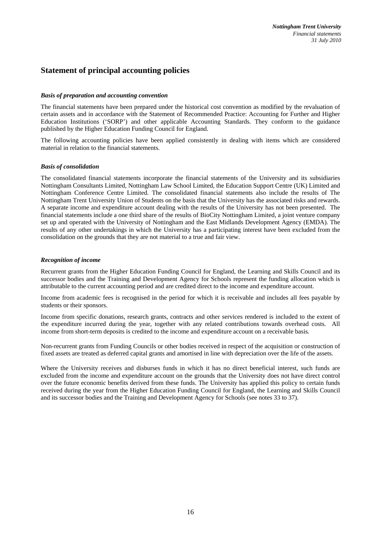# **Statement of principal accounting policies**

#### *Basis of preparation and accounting convention*

The financial statements have been prepared under the historical cost convention as modified by the revaluation of certain assets and in accordance with the Statement of Recommended Practice: Accounting for Further and Higher Education Institutions ('SORP') and other applicable Accounting Standards. They conform to the guidance published by the Higher Education Funding Council for England.

The following accounting policies have been applied consistently in dealing with items which are considered material in relation to the financial statements.

### *Basis of consolidation*

The consolidated financial statements incorporate the financial statements of the University and its subsidiaries Nottingham Consultants Limited, Nottingham Law School Limited, the Education Support Centre (UK) Limited and Nottingham Conference Centre Limited. The consolidated financial statements also include the results of The Nottingham Trent University Union of Students on the basis that the University has the associated risks and rewards. A separate income and expenditure account dealing with the results of the University has not been presented. The financial statements include a one third share of the results of BioCity Nottingham Limited, a joint venture company set up and operated with the University of Nottingham and the East Midlands Development Agency (EMDA). The results of any other undertakings in which the University has a participating interest have been excluded from the consolidation on the grounds that they are not material to a true and fair view.

#### *Recognition of income*

Recurrent grants from the Higher Education Funding Council for England, the Learning and Skills Council and its successor bodies and the Training and Development Agency for Schools represent the funding allocation which is attributable to the current accounting period and are credited direct to the income and expenditure account.

Income from academic fees is recognised in the period for which it is receivable and includes all fees payable by students or their sponsors.

Income from specific donations, research grants, contracts and other services rendered is included to the extent of the expenditure incurred during the year, together with any related contributions towards overhead costs. All income from short-term deposits is credited to the income and expenditure account on a receivable basis.

Non-recurrent grants from Funding Councils or other bodies received in respect of the acquisition or construction of fixed assets are treated as deferred capital grants and amortised in line with depreciation over the life of the assets.

Where the University receives and disburses funds in which it has no direct beneficial interest, such funds are excluded from the income and expenditure account on the grounds that the University does not have direct control over the future economic benefits derived from these funds. The University has applied this policy to certain funds received during the year from the Higher Education Funding Council for England, the Learning and Skills Council and its successor bodies and the Training and Development Agency for Schools (see notes 33 to 37).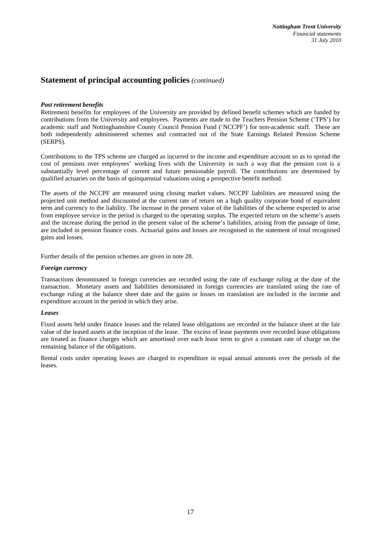# **Statement of principal accounting policies** *(continued)*

### *Post retirement benefits*

Retirement benefits for employees of the University are provided by defined benefit schemes which are funded by contributions from the University and employees. Payments are made to the Teachers Pension Scheme ('TPS') for academic staff and Nottinghamshire County Council Pension Fund ('NCCPF') for non-academic staff. These are both independently administered schemes and contracted out of the State Earnings Related Pension Scheme (SERPS).

Contributions to the TPS scheme are charged as incurred to the income and expenditure account so as to spread the cost of pensions over employees' working lives with the University in such a way that the pension cost is a substantially level percentage of current and future pensionable payroll. The contributions are determined by qualified actuaries on the basis of quinquennial valuations using a prospective benefit method.

The assets of the NCCPF are measured using closing market values. NCCPF liabilities are measured using the projected unit method and discounted at the current rate of return on a high quality corporate bond of equivalent term and currency to the liability. The increase in the present value of the liabilities of the scheme expected to arise from employee service in the period is charged to the operating surplus. The expected return on the scheme's assets and the increase during the period in the present value of the scheme's liabilities, arising from the passage of time, are included in pension finance costs. Actuarial gains and losses are recognised in the statement of total recognised gains and losses.

Further details of the pension schemes are given in note 28.

#### *Foreign currency*

Transactions denominated in foreign currencies are recorded using the rate of exchange ruling at the date of the transaction. Monetary assets and liabilities denominated in foreign currencies are translated using the rate of exchange ruling at the balance sheet date and the gains or losses on translation are included in the income and expenditure account in the period in which they arise.

#### *Leases*

Fixed assets held under finance leases and the related lease obligations are recorded in the balance sheet at the fair value of the leased assets at the inception of the lease. The excess of lease payments over recorded lease obligations are treated as finance charges which are amortised over each lease term to give a constant rate of charge on the remaining balance of the obligations.

Rental costs under operating leases are charged to expenditure in equal annual amounts over the periods of the leases.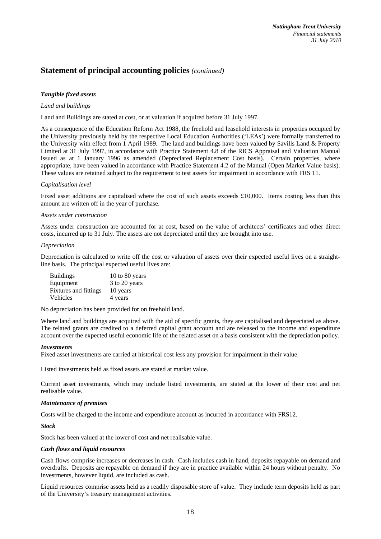# **Statement of principal accounting policies** *(continued)*

### *Tangible fixed assets*

#### *Land and buildings*

Land and Buildings are stated at cost, or at valuation if acquired before 31 July 1997.

As a consequence of the Education Reform Act 1988, the freehold and leasehold interests in properties occupied by the University previously held by the respective Local Education Authorities ('LEAs') were formally transferred to the University with effect from 1 April 1989. The land and buildings have been valued by Savills Land & Property Limited at 31 July 1997, in accordance with Practice Statement 4.8 of the RICS Appraisal and Valuation Manual issued as at 1 January 1996 as amended (Depreciated Replacement Cost basis). Certain properties, where appropriate, have been valued in accordance with Practice Statement 4.2 of the Manual (Open Market Value basis). These values are retained subject to the requirement to test assets for impairment in accordance with FRS 11.

#### *Capitalisation level*

Fixed asset additions are capitalised where the cost of such assets exceeds £10,000. Items costing less than this amount are written off in the year of purchase.

#### *Assets under construction*

Assets under construction are accounted for at cost, based on the value of architects' certificates and other direct costs, incurred up to 31 July. The assets are not depreciated until they are brought into use.

#### *Depreciation*

Depreciation is calculated to write off the cost or valuation of assets over their expected useful lives on a straightline basis. The principal expected useful lives are:

| <b>Buildings</b>      | 10 to 80 years |
|-----------------------|----------------|
| Equipment             | 3 to 20 years  |
| Fixtures and fittings | 10 years       |
| Vehicles              | 4 years        |

No depreciation has been provided for on freehold land.

Where land and buildings are acquired with the aid of specific grants, they are capitalised and depreciated as above. The related grants are credited to a deferred capital grant account and are released to the income and expenditure account over the expected useful economic life of the related asset on a basis consistent with the depreciation policy.

#### *Investments*

Fixed asset investments are carried at historical cost less any provision for impairment in their value.

Listed investments held as fixed assets are stated at market value.

Current asset investments, which may include listed investments, are stated at the lower of their cost and net realisable value.

#### *Maintenance of premises*

Costs will be charged to the income and expenditure account as incurred in accordance with FRS12.

*Stock* 

Stock has been valued at the lower of cost and net realisable value.

#### *Cash flows and liquid resources*

Cash flows comprise increases or decreases in cash. Cash includes cash in hand, deposits repayable on demand and overdrafts. Deposits are repayable on demand if they are in practice available within 24 hours without penalty. No investments, however liquid, are included as cash.

Liquid resources comprise assets held as a readily disposable store of value. They include term deposits held as part of the University's treasury management activities.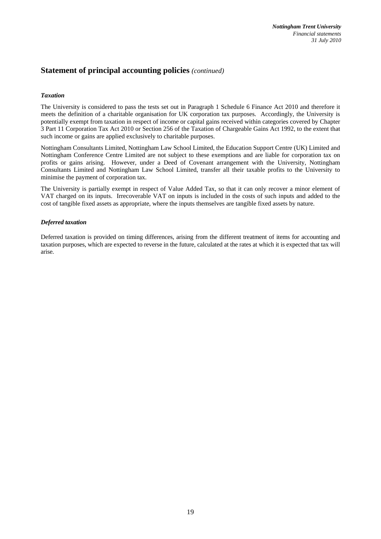# **Statement of principal accounting policies** *(continued)*

### *Taxation*

The University is considered to pass the tests set out in Paragraph 1 Schedule 6 Finance Act 2010 and therefore it meets the definition of a charitable organisation for UK corporation tax purposes. Accordingly, the University is potentially exempt from taxation in respect of income or capital gains received within categories covered by Chapter 3 Part 11 Corporation Tax Act 2010 or Section 256 of the Taxation of Chargeable Gains Act 1992, to the extent that such income or gains are applied exclusively to charitable purposes.

Nottingham Consultants Limited, Nottingham Law School Limited, the Education Support Centre (UK) Limited and Nottingham Conference Centre Limited are not subject to these exemptions and are liable for corporation tax on profits or gains arising. However, under a Deed of Covenant arrangement with the University, Nottingham Consultants Limited and Nottingham Law School Limited, transfer all their taxable profits to the University to minimise the payment of corporation tax.

The University is partially exempt in respect of Value Added Tax, so that it can only recover a minor element of VAT charged on its inputs. Irrecoverable VAT on inputs is included in the costs of such inputs and added to the cost of tangible fixed assets as appropriate, where the inputs themselves are tangible fixed assets by nature.

### *Deferred taxation*

Deferred taxation is provided on timing differences, arising from the different treatment of items for accounting and taxation purposes, which are expected to reverse in the future, calculated at the rates at which it is expected that tax will arise.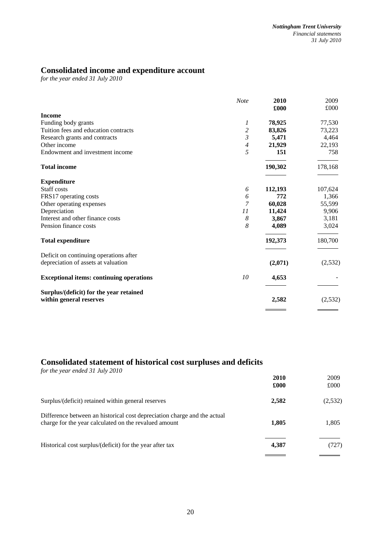# **Consolidated income and expenditure account**

*for the year ended 31 July 2010* 

|                                                                    | <b>Note</b>    | 2010<br>£000 | 2009<br>£000 |
|--------------------------------------------------------------------|----------------|--------------|--------------|
| <b>Income</b>                                                      |                |              |              |
| Funding body grants                                                | 1              | 78,925       | 77,530       |
| Tuition fees and education contracts                               | $\overline{c}$ | 83,826       | 73,223       |
| Research grants and contracts                                      | $\mathfrak{Z}$ | 5,471        | 4,464        |
| Other income                                                       | 4              | 21,929       | 22,193       |
| Endowment and investment income                                    | 5              | 151          | 758          |
| <b>Total income</b>                                                |                | 190,302      | 178,168      |
| <b>Expenditure</b>                                                 |                |              |              |
| Staff costs                                                        | 6              | 112,193      | 107,624      |
| FRS17 operating costs                                              | 6              | 772          | 1,366        |
| Other operating expenses                                           | 7              | 60,028       | 55,599       |
| Depreciation                                                       | 11             | 11,424       | 9,906        |
| Interest and other finance costs                                   | 8              | 3,867        | 3,181        |
| Pension finance costs                                              | 8              | 4,089        | 3,024        |
| <b>Total expenditure</b>                                           |                | 192,373      | 180,700      |
| Deficit on continuing operations after                             |                |              |              |
| depreciation of assets at valuation                                |                | (2,071)      | (2,532)      |
| <b>Exceptional items: continuing operations</b>                    | 10             | 4,653        |              |
| Surplus/(deficit) for the year retained<br>within general reserves |                | 2,582        | (2,532)      |
|                                                                    |                |              |              |

# **Consolidated statement of historical cost surpluses and deficits**

| for the year ended 31 July 2010                                                                                                   | 2010<br>£000 | 2009<br>£000 |
|-----------------------------------------------------------------------------------------------------------------------------------|--------------|--------------|
| Surplus/(deficit) retained within general reserves                                                                                | 2,582        | (2,532)      |
| Difference between an historical cost depreciation charge and the actual<br>charge for the year calculated on the revalued amount | 1,805        | 1,805        |
| Historical cost surplus/(deficit) for the year after tax                                                                          | 4,387        | (727)        |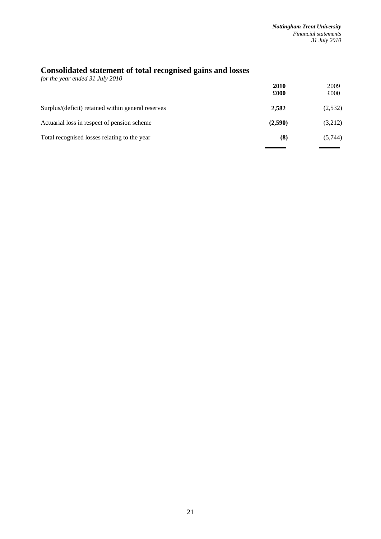# **Consolidated statement of total recognised gains and losses**

| for the year ended 31 July 2010                    |         |         |
|----------------------------------------------------|---------|---------|
|                                                    | 2010    | 2009    |
|                                                    | £000    | £000    |
| Surplus/(deficit) retained within general reserves | 2,582   | (2,532) |
| Actuarial loss in respect of pension scheme        | (2,590) | (3,212) |
| Total recognised losses relating to the year       | (8)     | (5,744) |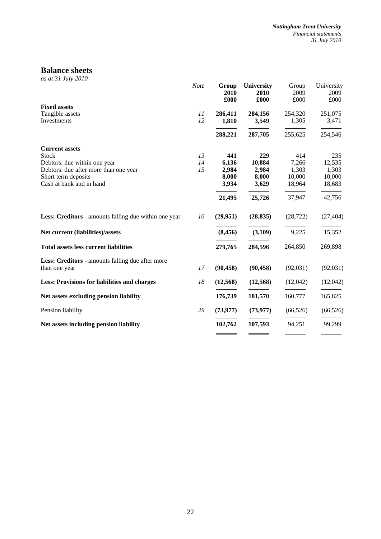# **Balance sheets**

*as at 31 July 2010* 

|                                                       | <b>Note</b> | Group<br>2010<br>£000 | University<br>2010<br>£000 | Group<br>2009<br>£000 | University<br>2009<br>£000 |
|-------------------------------------------------------|-------------|-----------------------|----------------------------|-----------------------|----------------------------|
| <b>Fixed assets</b>                                   |             |                       |                            |                       |                            |
| Tangible assets                                       | 11          | 286,411               | 284,156                    | 254,320               | 251,075                    |
| Investments                                           | 12          | 1,810                 | 3,549                      | 1,305                 | 3,471                      |
|                                                       |             | 288,221               | 287,705                    | 255,625               | 254,546                    |
| <b>Current assets</b>                                 |             |                       |                            |                       |                            |
| Stock                                                 | 13          | 441                   | 229                        | 414                   | 235                        |
| Debtors: due within one year                          | 14          | 6,136                 | 10,884                     | 7,266                 | 12,535                     |
| Debtors: due after more than one year                 | 15          | 2,984                 | 2,984                      | 1,303                 | 1,303                      |
| Short term deposits                                   |             | 8,000                 | 8,000                      | 10,000                | 10,000                     |
| Cash at bank and in hand                              |             | 3,934                 | 3,629                      | 18,964                | 18,683                     |
|                                                       |             | 21,495                | 25,726                     | 37,947                | 42,756                     |
| Less: Creditors - amounts falling due within one year | 16          | (29,951)              | (28, 835)                  | (28, 722)             | (27, 404)                  |
| Net current (liabilities)/assets                      |             | (8, 456)              | (3,109)                    | 9,225                 | 15,352                     |
| <b>Total assets less current liabilities</b>          |             | 279,765               | 284,596                    | 264,850               | 269,898                    |
| Less: Creditors - amounts falling due after more      |             |                       |                            |                       |                            |
| than one year                                         | 17          | (90, 458)             | (90, 458)                  | (92,031)              | (92, 031)                  |
| <b>Less: Provisions for liabilities and charges</b>   | 18          | (12, 568)             | (12,568)                   | (12,042)              | (12,042)                   |
| Net assets excluding pension liability                |             | 176,739               | 181,570                    | 160,777               | 165,825                    |
| Pension liability                                     | 29          | (73, 977)             | (73, 977)                  | (66, 526)             | (66, 526)                  |
| Net assets including pension liability                |             | 102,762               | 107,593                    | 94,251                | 99,299                     |
|                                                       |             |                       |                            |                       |                            |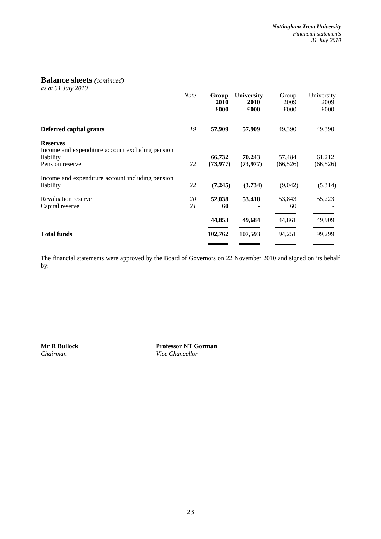# **Balance sheets** *(continued)*

*as at 31 July 2010* 

|                                                                                                     | <b>Note</b> | Group<br>2010<br>£000 | <b>University</b><br>2010<br>£000 | Group<br>2009<br>£000 | University<br>2009<br>£000 |
|-----------------------------------------------------------------------------------------------------|-------------|-----------------------|-----------------------------------|-----------------------|----------------------------|
| Deferred capital grants                                                                             | 19          | 57,909                | 57,909                            | 49,390                | 49,390                     |
| <b>Reserves</b><br>Income and expenditure account excluding pension<br>liability<br>Pension reserve | 22          | 66,732<br>(73, 977)   | 70,243<br>(73, 977)               | 57,484<br>(66, 526)   | 61,212<br>(66, 526)        |
| Income and expenditure account including pension<br>liability                                       | 22          | (7,245)               | (3,734)                           | (9,042)               | (5,314)                    |
| <b>Revaluation reserve</b><br>Capital reserve                                                       | 20<br>21    | 52,038<br>60          | 53,418                            | 53,843<br>60          | 55,223                     |
|                                                                                                     |             | 44,853                | 49,684                            | 44,861                | 49,909                     |
| <b>Total funds</b>                                                                                  |             | 102,762               | 107,593                           | 94,251                | 99,299                     |
|                                                                                                     |             |                       |                                   |                       |                            |

The financial statements were approved by the Board of Governors on 22 November 2010 and signed on its behalf by:

**Mr R Bullock Professor NT Gorman Chairman Professor NT Gorman** *Nice Chancellor* **Vice Chancellor**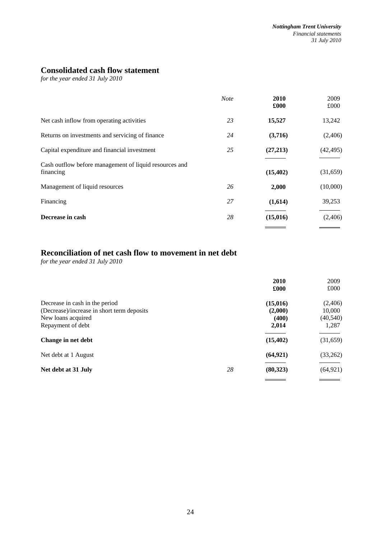# **Consolidated cash flow statement**

*for the year ended 31 July 2010* 

|                                                                     | <b>Note</b> | 2010<br>£000 | 2009<br>£000 |
|---------------------------------------------------------------------|-------------|--------------|--------------|
| Net cash inflow from operating activities                           | 23          | 15,527       | 13,242       |
| Returns on investments and servicing of finance                     | 24          | (3,716)      | (2,406)      |
| Capital expenditure and financial investment                        | 25          | (27,213)     | (42, 495)    |
| Cash outflow before management of liquid resources and<br>financing |             | (15, 402)    | (31,659)     |
| Management of liquid resources                                      | 26          | 2,000        | (10,000)     |
| Financing                                                           | 27          | (1,614)      | 39,253       |
| Decrease in cash                                                    | 28          | (15,016)     | (2,406)      |
|                                                                     |             |              |              |

# **Reconciliation of net cash flow to movement in net debt**

*for the year ended 31 July 2010* 

|                                            |    | 2010      | 2009      |
|--------------------------------------------|----|-----------|-----------|
|                                            |    | £000      | £000      |
| Decrease in cash in the period             |    | (15,016)  | (2,406)   |
| (Decrease)/increase in short term deposits |    | (2,000)   | 10,000    |
| New loans acquired                         |    | (400)     | (40, 540) |
| Repayment of debt                          |    | 2,014     | 1,287     |
| Change in net debt                         |    | (15, 402) | (31,659)  |
| Net debt at 1 August                       |    | (64, 921) | (33,262)  |
| Net debt at 31 July                        | 28 | (80, 323) | (64, 921) |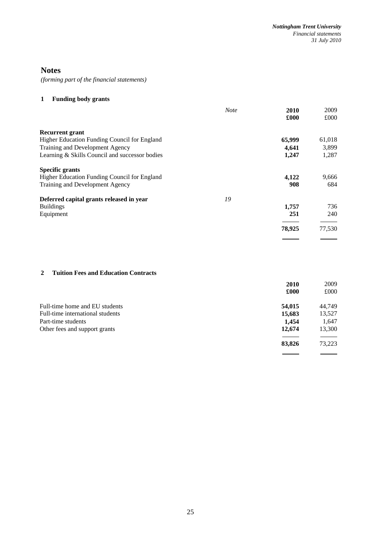# **Notes**

*(forming part of the financial statements)*

# **1 Funding body grants**

|                                                | <b>Note</b> | 2010<br>£000 | 2009<br>£000                      |
|------------------------------------------------|-------------|--------------|-----------------------------------|
| <b>Recurrent grant</b>                         |             |              |                                   |
| Higher Education Funding Council for England   |             | 65,999       | 61,018                            |
| Training and Development Agency                |             | 4,641        | 3,899                             |
| Learning & Skills Council and successor bodies |             | 1,247        | 1,287                             |
| <b>Specific grants</b>                         |             |              |                                   |
| Higher Education Funding Council for England   |             | 4,122        | 9,666                             |
| Training and Development Agency                |             | 908          | 684                               |
| Deferred capital grants released in year       | 19          |              |                                   |
| <b>Buildings</b>                               |             | 1,757        | 736                               |
| Equipment                                      |             | 251          | 240                               |
|                                                |             | 78,925       | 77,530                            |
|                                                |             |              | <b>Contract Contract Contract</b> |

# **2 Tuition Fees and Education Contracts**

|                                  | 2010   | 2009   |
|----------------------------------|--------|--------|
|                                  | £000   | £000   |
| Full-time home and EU students   | 54,015 | 44,749 |
| Full-time international students | 15,683 | 13,527 |
| Part-time students               | 1.454  | 1,647  |
| Other fees and support grants    | 12,674 | 13,300 |
|                                  | 83,826 | 73,223 |
|                                  |        |        |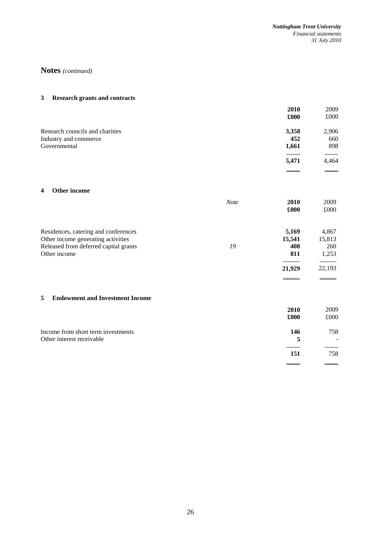# **Notes** *(continued)*

## **3 Research grants and contracts**

|                                 | 2010  | 2009  |
|---------------------------------|-------|-------|
|                                 | £000  | £000  |
| Research councils and charities | 3,358 | 2,906 |
| Industry and commerce           | 452   | 660   |
| Governmental                    | 1,661 | 898   |
|                                 | 5,471 | 4,464 |
|                                 |       |       |

#### **4 Other income**

|                                       | <b>Note</b> | 2010   | 2009   |
|---------------------------------------|-------------|--------|--------|
|                                       |             | £000   | £000   |
|                                       |             |        |        |
| Residences, catering and conferences  |             | 5,169  | 4,867  |
| Other income generating activities    |             | 15,541 | 15,813 |
| Released from deferred capital grants | 19          | 408    | 260    |
| Other income                          |             | 811    | 1,253  |
|                                       |             | 21,929 | 22,193 |

#### **5 Endowment and Investment Income**

|                                                                 | 2010<br>£000 | 2009<br>£000 |
|-----------------------------------------------------------------|--------------|--------------|
| Income from short term investments<br>Other interest receivable | 146<br>5     | 758          |
|                                                                 | 151          | 758          |
|                                                                 |              |              |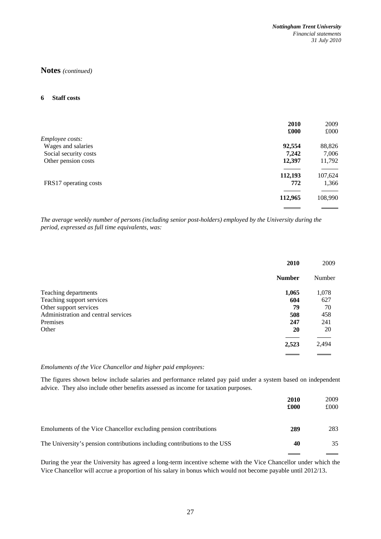#### **6 Staff costs**

|                       | 2010    | 2009    |
|-----------------------|---------|---------|
|                       | £000    | £000    |
| Employee costs:       |         |         |
| Wages and salaries    | 92,554  | 88,826  |
| Social security costs | 7,242   | 7,006   |
| Other pension costs   | 12,397  | 11,792  |
|                       | 112,193 | 107,624 |
| FRS17 operating costs | 772     | 1,366   |
|                       | 112,965 | 108,990 |
|                       |         |         |

*The average weekly number of persons (including senior post-holders) employed by the University during the period, expressed as full time equivalents, was:* 

|                                     | 2010          | 2009   |
|-------------------------------------|---------------|--------|
|                                     | <b>Number</b> | Number |
| Teaching departments                | 1,065         | 1,078  |
| Teaching support services           | 604           | 627    |
| Other support services              | 79            | 70     |
| Administration and central services | 508           | 458    |
| Premises                            | 247           | 241    |
| Other                               | 20            | 20     |
|                                     |               |        |
|                                     | 2,523         | 2,494  |
|                                     |               |        |

## *Emoluments of the Vice Chancellor and higher paid employees:*

The figures shown below include salaries and performance related pay paid under a system based on independent advice. They also include other benefits assessed as income for taxation purposes.

|                                                                           | <b>2010</b><br>£000 | 2009<br>£000 |
|---------------------------------------------------------------------------|---------------------|--------------|
| Emoluments of the Vice Chancellor excluding pension contributions         | 289                 | 283          |
| The University's pension contributions including contributions to the USS | 40                  | 35           |

During the year the University has agreed a long-term incentive scheme with the Vice Chancellor under which the Vice Chancellor will accrue a proportion of his salary in bonus which would not become payable until 2012/13.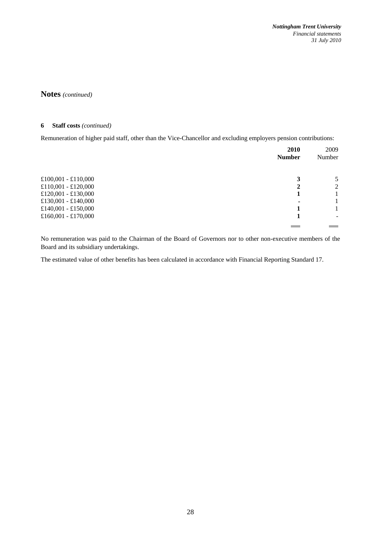*Nottingham Trent University Financial statements 31 July 2010* 

**Notes** *(continued)*

#### **6 Staff costs** *(continued)*

Remuneration of higher paid staff, other than the Vice-Chancellor and excluding employers pension contributions:

|                     | 2010<br><b>Number</b> | 2009<br>Number |
|---------------------|-----------------------|----------------|
| £100,001 - £110,000 | 3                     | 5              |
| £110,001 - £120,000 | 2                     | 2              |
| £120,001 - £130,000 |                       |                |
| £130,001 - £140,000 | ٠                     |                |
| £140,001 - £150,000 |                       |                |
| £160,001 - £170,000 |                       |                |

No remuneration was paid to the Chairman of the Board of Governors nor to other non-executive members of the Board and its subsidiary undertakings.

The estimated value of other benefits has been calculated in accordance with Financial Reporting Standard 17.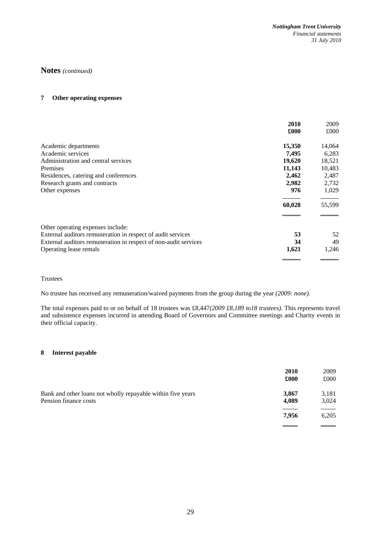## **7 Other operating expenses**

|                                                                 | 2010   | 2009   |
|-----------------------------------------------------------------|--------|--------|
|                                                                 | £000   | £000   |
| Academic departments                                            | 15,350 | 14,064 |
| Academic services                                               | 7,495  | 6,283  |
| Administration and central services                             | 19,620 | 18,521 |
| Premises                                                        | 11,143 | 10,483 |
| Residences, catering and conferences                            | 2,462  | 2,487  |
| Research grants and contracts                                   | 2,982  | 2,732  |
| Other expenses                                                  | 976    | 1,029  |
|                                                                 | 60,028 | 55,599 |
| Other operating expenses include:                               |        |        |
| External auditors remuneration in respect of audit services     | 53     | 52     |
| External auditors remuneration in respect of non-audit services | 34     | 49     |
| Operating lease rentals                                         | 1,621  | 1,246  |
|                                                                 |        |        |

Trustees

No trustee has received any remuneration/waived payments from the group during the year *(2009: none).*

The total expenses paid to or on behalf of 18 trustees was £8,447*(2009 £8,189 to18 trustees).* This represents travel and subsistence expenses incurred in attending Board of Governors and Committee meetings and Charity events in their official capacity.

## **8 Interest payable**

|                                                                                      | 2010<br>£000   | 2009<br>£000   |
|--------------------------------------------------------------------------------------|----------------|----------------|
| Bank and other loans not wholly repayable within five years<br>Pension finance costs | 3,867<br>4,089 | 3,181<br>3,024 |
|                                                                                      | 7.956          | 6,205          |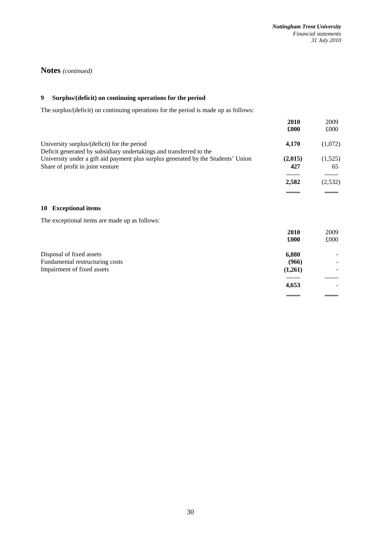## **9 Surplus/(deficit) on continuing operations for the period**

The surplus/(deficit) on continuing operations for the period is made up as follows:

|                                                                                                                                                          | 2010<br>£000 | 2009<br>£000 |
|----------------------------------------------------------------------------------------------------------------------------------------------------------|--------------|--------------|
| University surplus/(deficit) for the period                                                                                                              | 4,170        | (1,072)      |
| Deficit generated by subsidiary undertakings and transferred to the<br>University under a gift aid payment plus surplus generated by the Students' Union | (2,015)      | (1,525)      |
| Share of profit in joint venture                                                                                                                         | 427          | 65           |
|                                                                                                                                                          | 2,582        | (2,532)      |
|                                                                                                                                                          |              |              |

## **10 Exceptional items**

The exceptional items are made up as follows:

|                                 | 2010    | 2009 |
|---------------------------------|---------|------|
|                                 | £000    | £000 |
| Disposal of fixed assets        | 6,880   |      |
| Fundamental restructuring costs | (966)   | -    |
| Impairment of fixed assets      | (1,261) |      |
|                                 |         |      |
|                                 | 4,653   |      |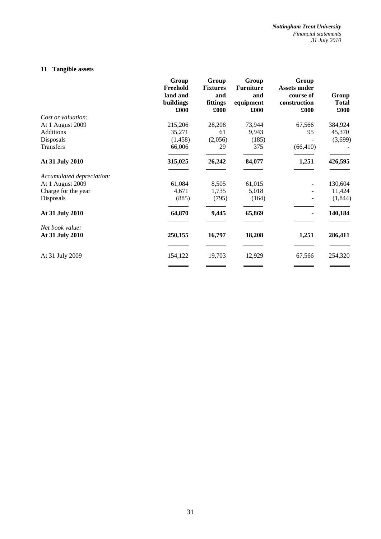# **11 Tangible assets**

|                           | Group<br>Freehold<br>land and<br>buildings<br>£000 | Group<br><b>Fixtures</b><br>and<br>fittings<br>£000 | Group<br><b>Furniture</b><br>and<br>equipment<br>£000 | Group<br><b>Assets under</b><br>course of<br>construction<br>£000 | Group<br><b>Total</b><br>£000 |
|---------------------------|----------------------------------------------------|-----------------------------------------------------|-------------------------------------------------------|-------------------------------------------------------------------|-------------------------------|
| Cost or valuation:        |                                                    |                                                     |                                                       |                                                                   |                               |
| At 1 August 2009          | 215,206                                            | 28,208                                              | 73,944                                                | 67,566                                                            | 384,924                       |
| Additions                 | 35,271                                             | 61                                                  | 9,943                                                 | 95                                                                | 45,370                        |
| Disposals                 | (1,458)                                            | (2,056)                                             | (185)                                                 |                                                                   | (3,699)                       |
| <b>Transfers</b>          | 66,006                                             | 29                                                  | 375                                                   | (66, 410)                                                         |                               |
| At 31 July 2010           | 315,025                                            | 26,242                                              | 84,077                                                | 1,251                                                             | 426,595                       |
| Accumulated depreciation: |                                                    |                                                     |                                                       |                                                                   |                               |
| At 1 August 2009          | 61,084                                             | 8,505                                               | 61,015                                                |                                                                   | 130,604                       |
| Charge for the year       | 4,671                                              | 1,735                                               | 5,018                                                 |                                                                   | 11,424                        |
| Disposals                 | (885)                                              | (795)                                               | (164)                                                 |                                                                   | (1,844)                       |
| At 31 July 2010           | 64,870                                             | 9,445                                               | 65,869                                                | ۰                                                                 | 140,184                       |
| Net book value:           |                                                    |                                                     |                                                       |                                                                   |                               |
| At 31 July 2010           | 250,155                                            | 16,797                                              | 18,208                                                | 1,251                                                             | 286,411                       |
|                           |                                                    |                                                     |                                                       |                                                                   |                               |
| At 31 July 2009           | 154,122                                            | 19,703                                              | 12,929                                                | 67,566                                                            | 254,320                       |
|                           |                                                    |                                                     | ______                                                | and the control of the control of the                             |                               |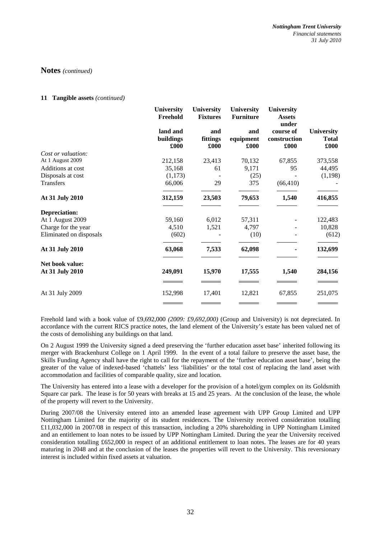#### **11 Tangible assets** *(continued)*

|                         | University<br>Freehold        | University<br><b>Fixtures</b> | University<br><b>Furniture</b> | <b>University</b><br><b>Assets</b><br>under |                                           |
|-------------------------|-------------------------------|-------------------------------|--------------------------------|---------------------------------------------|-------------------------------------------|
|                         | land and<br>buildings<br>£000 | and<br>fittings<br>£000       | and<br>equipment<br>£000       | course of<br>construction<br>£000           | <b>University</b><br><b>Total</b><br>£000 |
| Cost or valuation:      |                               |                               |                                |                                             |                                           |
| At 1 August 2009        | 212,158                       | 23,413                        | 70,132                         | 67,855                                      | 373,558                                   |
| Additions at cost       | 35,168                        | 61                            | 9,171                          | 95                                          | 44,495                                    |
| Disposals at cost       | (1,173)                       |                               | (25)                           |                                             | (1,198)                                   |
| <b>Transfers</b>        | 66,006                        | 29                            | 375                            | (66, 410)                                   |                                           |
| At 31 July 2010         | 312,159                       | 23,503                        | 79,653                         | 1,540                                       | 416,855                                   |
| Depreciation:           |                               |                               |                                |                                             |                                           |
| At 1 August 2009        | 59,160                        | 6,012                         | 57,311                         |                                             | 122,483                                   |
| Charge for the year     | 4,510                         | 1,521                         | 4,797                          |                                             | 10,828                                    |
| Eliminated on disposals | (602)                         |                               | (10)                           |                                             | (612)                                     |
| At 31 July 2010         | 63,068                        | 7,533                         | 62,098                         |                                             | 132,699                                   |
| Net book value:         |                               |                               |                                |                                             |                                           |
| At 31 July 2010         | 249,091                       | 15,970                        | 17,555                         | 1,540                                       | 284,156                                   |
|                         |                               |                               |                                |                                             |                                           |
| At 31 July 2009         | 152,998                       | 17,401                        | 12,821                         | 67,855                                      | 251,075                                   |
|                         |                               |                               |                                |                                             | __                                        |

Freehold land with a book value of £9,692,000 *(2009: £9,692,000)* (Group and University) is not depreciated. In accordance with the current RICS practice notes, the land element of the University's estate has been valued net of the costs of demolishing any buildings on that land.

On 2 August 1999 the University signed a deed preserving the 'further education asset base' inherited following its merger with Brackenhurst College on 1 April 1999. In the event of a total failure to preserve the asset base, the Skills Funding Agency shall have the right to call for the repayment of the 'further education asset base', being the greater of the value of indexed-based 'chattels' less 'liabilities' or the total cost of replacing the land asset with accommodation and facilities of comparable quality, size and location.

The University has entered into a lease with a developer for the provision of a hotel/gym complex on its Goldsmith Square car park. The lease is for 50 years with breaks at 15 and 25 years. At the conclusion of the lease, the whole of the property will revert to the University.

During 2007/08 the University entered into an amended lease agreement with UPP Group Limited and UPP Nottingham Limited for the majority of its student residences. The University received consideration totalling £11,032,000 in 2007/08 in respect of this transaction, including a 20% shareholding in UPP Nottingham Limited and an entitlement to loan notes to be issued by UPP Nottingham Limited. During the year the University received consideration totalling £652,000 in respect of an additional entitlement to loan notes. The leases are for 40 years maturing in 2048 and at the conclusion of the leases the properties will revert to the University. This reversionary interest is included within fixed assets at valuation.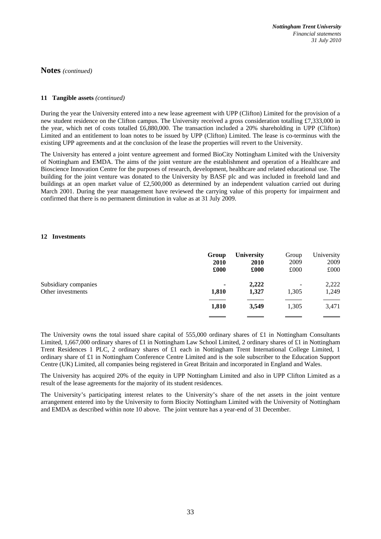#### **11 Tangible assets** *(continued)*

During the year the University entered into a new lease agreement with UPP (Clifton) Limited for the provision of a new student residence on the Clifton campus. The University received a gross consideration totalling £7,333,000 in the year, which net of costs totalled £6,880,000. The transaction included a 20% shareholding in UPP (Clifton) Limited and an entitlement to loan notes to be issued by UPP (Clifton) Limited. The lease is co-terminus with the existing UPP agreements and at the conclusion of the lease the properties will revert to the University.

The University has entered a joint venture agreement and formed BioCity Nottingham Limited with the University of Nottingham and EMDA. The aims of the joint venture are the establishment and operation of a Healthcare and Bioscience Innovation Centre for the purposes of research, development, healthcare and related educational use. The building for the joint venture was donated to the University by BASF plc and was included in freehold land and buildings at an open market value of £2,500,000 as determined by an independent valuation carried out during March 2001. During the year management have reviewed the carrying value of this property for impairment and confirmed that there is no permanent diminution in value as at 31 July 2009.

#### **12 Investments**

|                      | Group          | <b>University</b> | Group | University |
|----------------------|----------------|-------------------|-------|------------|
|                      | <b>2010</b>    | <b>2010</b>       | 2009  | 2009       |
|                      | £000           | £000              | £000  | £000       |
| Subsidiary companies | $\blacksquare$ | 2,222             | -     | 2,222      |
| Other investments    | 1,810          | 1,327             | 1,305 | 1,249      |
|                      | 1,810          | 3,549             | 1,305 | 3,471      |
|                      |                |                   |       |            |

The University owns the total issued share capital of 555,000 ordinary shares of £1 in Nottingham Consultants Limited, 1,667,000 ordinary shares of £1 in Nottingham Law School Limited, 2 ordinary shares of £1 in Nottingham Trent Residences 1 PLC, 2 ordinary shares of £1 each in Nottingham Trent International College Limited, 1 ordinary share of £1 in Nottingham Conference Centre Limited and is the sole subscriber to the Education Support Centre (UK) Limited, all companies being registered in Great Britain and incorporated in England and Wales.

The University has acquired 20% of the equity in UPP Nottingham Limited and also in UPP Clifton Limited as a result of the lease agreements for the majority of its student residences.

The University's participating interest relates to the University's share of the net assets in the joint venture arrangement entered into by the University to form Biocity Nottingham Limited with the University of Nottingham and EMDA as described within note 10 above. The joint venture has a year-end of 31 December.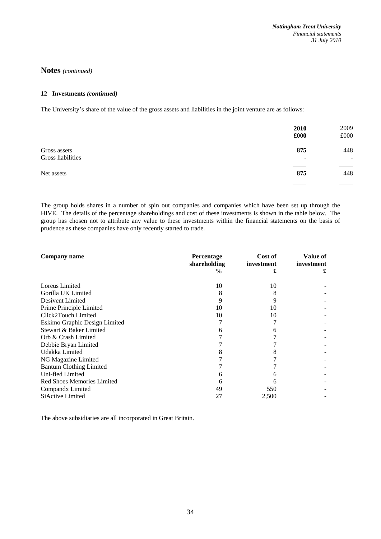#### **12 Investments** *(continued)*

The University's share of the value of the gross assets and liabilities in the joint venture are as follows:

|                                   | 2010<br>£000 | 2009<br>£000                    |
|-----------------------------------|--------------|---------------------------------|
| Gross assets<br>Gross liabilities | 875<br>۰     | 448<br>$\overline{\phantom{0}}$ |
| Net assets                        | 875          | 448                             |
|                                   |              | $\equiv$ $\equiv$               |

The group holds shares in a number of spin out companies and companies which have been set up through the HIVE. The details of the percentage shareholdings and cost of these investments is shown in the table below. The group has chosen not to attribute any value to these investments within the financial statements on the basis of prudence as these companies have only recently started to trade.

| Company name                   | Percentage<br>shareholding | Cost of<br>investment | Value of<br>investment |
|--------------------------------|----------------------------|-----------------------|------------------------|
|                                | $\%$                       |                       |                        |
| Loreus Limited                 | 10                         | 10                    |                        |
| Gorilla UK Limited             | 8                          |                       |                        |
| Desivent Limited               | 9                          | 9                     |                        |
| Prime Principle Limited        | 10                         | 10                    |                        |
| Click2Touch Limited            | 10                         | 10                    |                        |
| Eskimo Graphic Design Limited  |                            |                       |                        |
| Stewart & Baker Limited        |                            |                       |                        |
| Orb & Crash Limited            |                            |                       |                        |
| Debbie Bryan Limited           |                            |                       |                        |
| Udakka Limited                 |                            |                       |                        |
| NG Magazine Limited            |                            |                       |                        |
| <b>Bantum Clothing Limited</b> |                            |                       |                        |
| Uni-fied Limited               |                            |                       |                        |
| Red Shoes Memories Limited     |                            |                       |                        |
| Compandx Limited               | 49                         | 550                   |                        |
| SiActive Limited               | 27                         | 2,500                 |                        |

The above subsidiaries are all incorporated in Great Britain.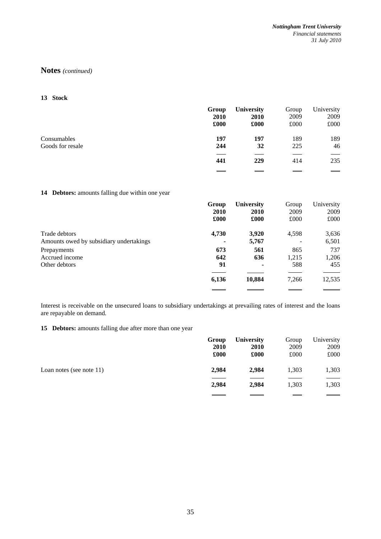**13 Stock** 

|                  | Group | <b>University</b> | Group | University |
|------------------|-------|-------------------|-------|------------|
|                  | 2010  | 2010              | 2009  | 2009       |
|                  | £000  | £000              | £000  | £000       |
| Consumables      | 197   | 197               | 189   | 189        |
| Goods for resale | 244   | 32                | 225   | 46         |
|                  | 441   | 229               | 414   | 235        |
|                  |       |                   |       |            |

## **14 Debtors:** amounts falling due within one year

|                                                          | Group | <b>University</b>        | Group | University     |
|----------------------------------------------------------|-------|--------------------------|-------|----------------|
|                                                          | 2010  | <b>2010</b>              | 2009  | 2009           |
|                                                          | £000  | £000                     | £000  | £000           |
| Trade debtors<br>Amounts owed by subsidiary undertakings | 4,730 | 3,920<br>5,767           | 4,598 | 3,636<br>6,501 |
| Prepayments                                              | 673   | 561                      | 865   | 737            |
| Accrued income                                           | 642   | 636                      | 1,215 | 1,206          |
| Other debtors                                            | 91    | $\overline{\phantom{a}}$ | 588   | 455            |
|                                                          | 6,136 | 10,884                   | 7,266 | 12,535         |

Interest is receivable on the unsecured loans to subsidiary undertakings at prevailing rates of interest and the loans are repayable on demand.

**15 Debtors:** amounts falling due after more than one year

|                             | Group       | <b>University</b> | Group | University |
|-----------------------------|-------------|-------------------|-------|------------|
|                             | <b>2010</b> | <b>2010</b>       | 2009  | 2009       |
|                             | £000        | £000              | £000  | £000       |
| Loan notes (see note $11$ ) | 2,984       | 2,984             | 1,303 | 1,303      |
|                             | 2,984       | 2,984             | 1,303 | 1,303      |
|                             |             |                   |       |            |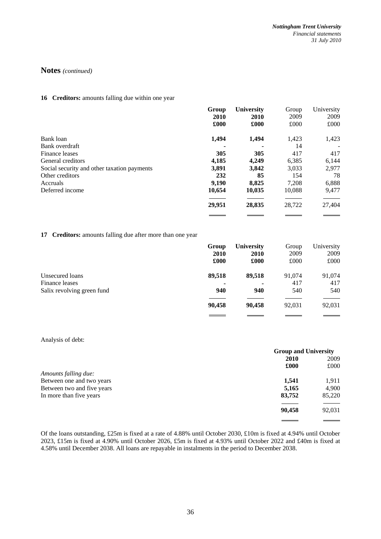#### 16 **Creditors:** amounts falling due within one year

|                                             | Group  | <b>University</b> | Group  | University |
|---------------------------------------------|--------|-------------------|--------|------------|
|                                             | 2010   | 2010              | 2009   | 2009       |
|                                             | £000   | £000              | £000   | £000       |
| Bank loan                                   | 1,494  | 1,494             | 1,423  | 1,423      |
| Bank overdraft                              |        |                   | 14     |            |
| Finance leases                              | 305    | 305               | 417    | 417        |
| General creditors                           | 4,185  | 4,249             | 6,385  | 6,144      |
| Social security and other taxation payments | 3.891  | 3,842             | 3,033  | 2,977      |
| Other creditors                             | 232    | 85                | 154    | 78         |
| Accruals                                    | 9.190  | 8.825             | 7,208  | 6,888      |
| Deferred income                             | 10,654 | 10,035            | 10,088 | 9,477      |
|                                             | 29,951 | 28,835            | 28,722 | 27,404     |
|                                             |        |                   |        |            |

#### **17 Creditors:** amounts falling due after more than one year

|                            | Group<br><b>2010</b><br>£000 | <b>University</b><br><b>2010</b><br>£000 | Group<br>2009<br>£000 | University<br>2009<br>£000 |
|----------------------------|------------------------------|------------------------------------------|-----------------------|----------------------------|
| Unsecured loans            | 89,518                       | 89,518                                   | 91,074                | 91,074                     |
| Finance leases             |                              | ٠                                        | 417                   | 417                        |
| Salix revolving green fund | 940                          | 940                                      | 540                   | 540                        |
|                            | 90,458                       | 90,458                                   | 92,031                | 92,031                     |
|                            |                              |                                          |                       |                            |

#### Analysis of debt:

|                            | <b>Group and University</b> |        |
|----------------------------|-----------------------------|--------|
|                            | 2010                        | 2009   |
|                            | £000                        | £000   |
| Amounts falling due:       |                             |        |
| Between one and two years  | 1.541                       | 1,911  |
| Between two and five years | 5,165                       | 4,900  |
| In more than five years    | 83,752                      | 85,220 |
|                            | 90,458                      | 92,031 |
|                            |                             |        |

Of the loans outstanding, £25m is fixed at a rate of 4.88% until October 2030, £10m is fixed at 4.94% until October 2023, £15m is fixed at 4.90% until October 2026, £5m is fixed at 4.93% until October 2022 and £40m is fixed at 4.58% until December 2038. All loans are repayable in instalments in the period to December 2038.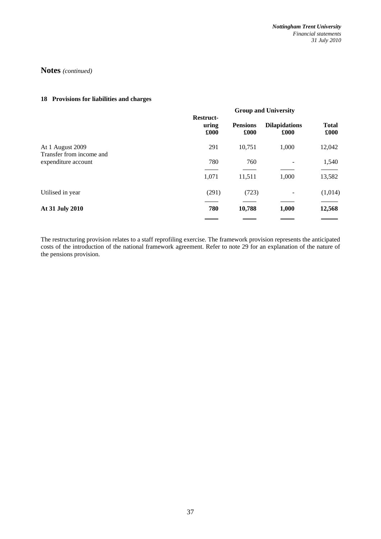## **18 Provisions for liabilities and charges**

|                                                 |                            | <b>Group and University</b> |                              |                      |
|-------------------------------------------------|----------------------------|-----------------------------|------------------------------|----------------------|
|                                                 | Restruct-<br>uring<br>£000 | <b>Pensions</b><br>£000     | <b>Dilapidations</b><br>£000 | <b>Total</b><br>£000 |
| At 1 August 2009                                | 291                        | 10,751                      | 1,000                        | 12,042               |
| Transfer from income and<br>expenditure account | 780                        | 760                         |                              | 1,540                |
|                                                 | 1,071                      | 11,511                      | 1,000                        | 13,582               |
| Utilised in year                                | (291)                      | (723)                       | $\overline{\phantom{0}}$     | (1,014)              |
| At 31 July 2010                                 | 780                        | 10,788                      | 1,000                        | 12,568               |
|                                                 |                            |                             |                              |                      |

The restructuring provision relates to a staff reprofiling exercise. The framework provision represents the anticipated costs of the introduction of the national framework agreement. Refer to note 29 for an explanation of the nature of the pensions provision.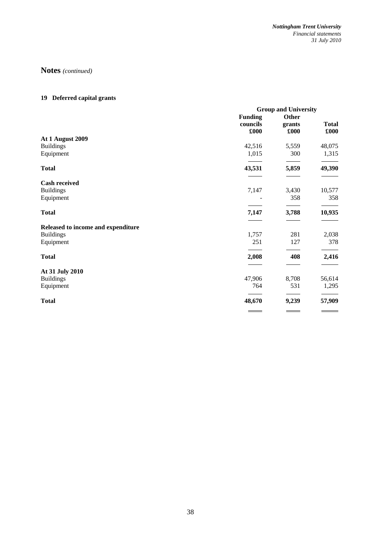# **19 Deferred capital grants**

|                                    | <b>Group and University</b> |              |              |
|------------------------------------|-----------------------------|--------------|--------------|
|                                    | <b>Funding</b>              | <b>Other</b> |              |
|                                    | councils                    | grants       | <b>Total</b> |
|                                    | £000                        | £000         | £000         |
| At 1 August 2009                   |                             |              |              |
| <b>Buildings</b>                   | 42,516                      | 5,559        | 48,075       |
| Equipment                          | 1,015                       | 300          | 1,315        |
| <b>Total</b>                       | 43,531                      | 5,859        | 49,390       |
| <b>Cash received</b>               |                             |              |              |
| <b>Buildings</b>                   | 7,147                       | 3,430        | 10,577       |
| Equipment                          |                             | 358          | 358          |
|                                    |                             |              |              |
| <b>Total</b>                       | 7,147                       | 3,788        | 10,935       |
| Released to income and expenditure |                             |              |              |
| <b>Buildings</b>                   | 1,757                       | 281          | 2,038        |
| Equipment                          | 251                         | 127          | 378          |
| <b>Total</b>                       | 2,008                       | 408          | 2,416        |
| At 31 July 2010                    |                             |              |              |
| <b>Buildings</b>                   | 47,906                      | 8,708        | 56,614       |
| Equipment                          | 764                         | 531          | 1,295        |
| <b>Total</b>                       | 48,670                      | 9,239        | 57,909       |
|                                    |                             |              |              |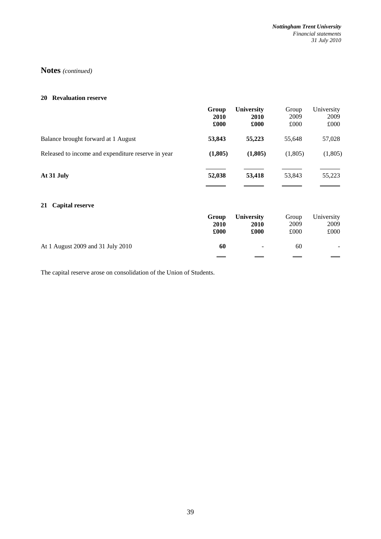#### **20 Revaluation reserve**

|                                                    | Group<br>2010<br>£000 | <b>University</b><br>2010<br>£000 | Group<br>2009<br>£000 | University<br>2009<br>£000 |
|----------------------------------------------------|-----------------------|-----------------------------------|-----------------------|----------------------------|
| Balance brought forward at 1 August                | 53,843                | 55,223                            | 55,648                | 57,028                     |
| Released to income and expenditure reserve in year | (1,805)               | (1,805)                           | (1,805)               | (1,805)                    |
| At 31 July                                         | 52,038                | 53,418                            | 53,843                | 55,223                     |
| <b>Capital reserve</b><br>21                       |                       |                                   |                       |                            |
|                                                    | Group<br>2010<br>£000 | <b>University</b><br>2010<br>£000 | Group<br>2009<br>£000 | University<br>2009<br>£000 |
| At 1 August 2009 and 31 July 2010                  | 60                    |                                   | 60                    |                            |
|                                                    |                       |                                   |                       |                            |

The capital reserve arose on consolidation of the Union of Students.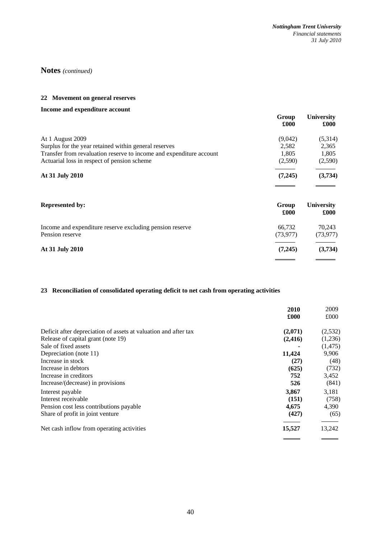## **22 Movement on general reserves**

## **Income and expenditure account**

|                                                                     | Group<br>£000 | <b>University</b><br>£000 |
|---------------------------------------------------------------------|---------------|---------------------------|
| At 1 August 2009                                                    | (9,042)       | (5,314)                   |
| Surplus for the year retained within general reserves               | 2,582         | 2,365                     |
| Transfer from revaluation reserve to income and expenditure account | 1.805         | 1,805                     |
| Actuarial loss in respect of pension scheme                         | (2,590)       | (2,590)                   |
| At 31 July 2010                                                     | (7,245)       | (3,734)                   |
|                                                                     |               |                           |

| <b>Represented by:</b>                                                      | Group<br>£000       | <b>University</b><br>£000 |
|-----------------------------------------------------------------------------|---------------------|---------------------------|
| Income and expenditure reserve excluding pension reserve<br>Pension reserve | 66.732<br>(73, 977) | 70.243<br>(73, 977)       |
| At 31 July 2010                                                             | (7,245)             | (3,734)                   |
|                                                                             |                     |                           |

# **23 Reconciliation of consolidated operating deficit to net cash from operating activities**

|                                                                 | 2010     | 2009     |
|-----------------------------------------------------------------|----------|----------|
|                                                                 | £000     | £000     |
| Deficit after depreciation of assets at valuation and after tax | (2,071)  | (2,532)  |
| Release of capital grant (note 19)                              | (2, 416) | (1,236)  |
| Sale of fixed assets                                            |          | (1, 475) |
| Depreciation (note 11)                                          | 11,424   | 9,906    |
| Increase in stock                                               | (27)     | (48)     |
| Increase in debtors                                             | (625)    | (732)    |
| Increase in creditors                                           | 752      | 3,452    |
| Increase/(decrease) in provisions                               | 526      | (841)    |
| Interest payable                                                | 3,867    | 3.181    |
| Interest receivable                                             | (151)    | (758)    |
| Pension cost less contributions payable                         | 4,675    | 4,390    |
| Share of profit in joint venture                                | (427)    | (65)     |
| Net cash inflow from operating activities                       | 15,527   | 13,242   |
|                                                                 |          |          |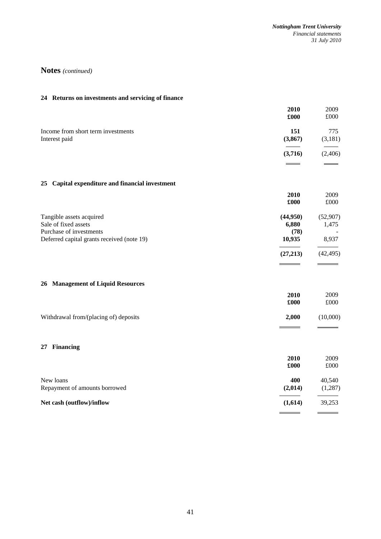| 24 Returns on investments and servicing of finance                          |                           |                    |
|-----------------------------------------------------------------------------|---------------------------|--------------------|
|                                                                             | 2010<br>£000              | 2009<br>£000       |
| Income from short term investments<br>Interest paid                         | 151<br>(3,867)            | 775<br>(3,181)     |
|                                                                             | (3,716)                   | (2,406)            |
| 25 Capital expenditure and financial investment                             |                           |                    |
|                                                                             | 2010<br>£000              | 2009<br>£000       |
| Tangible assets acquired<br>Sale of fixed assets<br>Purchase of investments | (44,950)<br>6,880<br>(78) | (52, 907)<br>1,475 |
| Deferred capital grants received (note 19)                                  | 10,935                    | 8,937              |
|                                                                             | (27, 213)                 | (42, 495)          |
| 26 Management of Liquid Resources                                           |                           |                    |
|                                                                             | 2010<br>£000              | 2009<br>£000       |
| Withdrawal from/(placing of) deposits                                       | 2,000                     | (10,000)           |
| 27 Financing                                                                |                           |                    |
|                                                                             | 2010<br>£000              | 2009<br>£000       |
| New loans<br>Repayment of amounts borrowed                                  | 400<br>(2,014)            | 40,540<br>(1,287)  |
| Net cash (outflow)/inflow                                                   | (1,614)                   | 39,253             |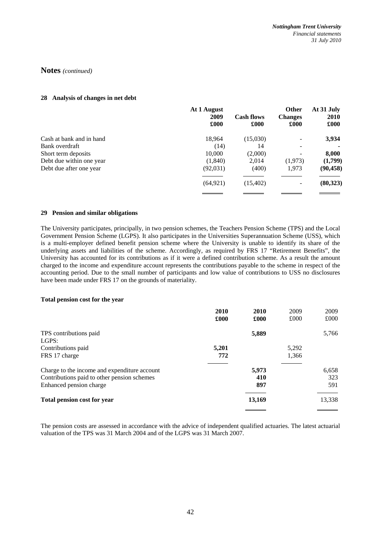#### **28 Analysis of changes in net debt**

|                          | At 1 August<br>2009<br>£000 | <b>Cash flows</b><br>£000 | <b>Other</b><br><b>Changes</b><br>£000 | At 31 July<br><b>2010</b><br>£000 |
|--------------------------|-----------------------------|---------------------------|----------------------------------------|-----------------------------------|
| Cash at bank and in hand | 18,964                      | (15,030)                  |                                        | 3,934                             |
| Bank overdraft           | (14)                        | 14                        |                                        |                                   |
| Short term deposits      | 10,000                      | (2,000)                   |                                        | 8,000                             |
| Debt due within one year | (1,840)                     | 2,014                     | (1,973)                                | (1,799)                           |
| Debt due after one year  | (92,031)                    | (400)                     | 1,973                                  | (90, 458)                         |
|                          | (64, 921)                   | (15, 402)                 |                                        | (80, 323)                         |
|                          |                             |                           |                                        |                                   |

#### **29 Pension and similar obligations**

The University participates, principally, in two pension schemes, the Teachers Pension Scheme (TPS) and the Local Government Pension Scheme (LGPS). It also participates in the Universities Superannuation Scheme (USS), which is a multi-employer defined benefit pension scheme where the University is unable to identify its share of the underlying assets and liabilities of the scheme. Accordingly, as required by FRS 17 "Retirement Benefits", the University has accounted for its contributions as if it were a defined contribution scheme. As a result the amount charged to the income and expenditure account represents the contributions payable to the scheme in respect of the accounting period. Due to the small number of participants and low value of contributions to USS no disclosures have been made under FRS 17 on the grounds of materiality.

#### **Total pension cost for the year**

|                                              | 2010  | 2010   | 2009  | 2009   |
|----------------------------------------------|-------|--------|-------|--------|
|                                              | £000  | £000   | £000  | £000   |
| TPS contributions paid                       |       | 5,889  |       | 5,766  |
| LGPS:                                        |       |        |       |        |
| Contributions paid                           | 5,201 |        | 5,292 |        |
| FRS 17 charge                                | 772   |        | 1,366 |        |
| Charge to the income and expenditure account |       | 5,973  |       | 6,658  |
| Contributions paid to other pension schemes  |       | 410    |       | 323    |
| Enhanced pension charge                      |       | 897    |       | 591    |
| <b>Total pension cost for year</b>           |       | 13,169 |       | 13,338 |

The pension costs are assessed in accordance with the advice of independent qualified actuaries. The latest actuarial valuation of the TPS was 31 March 2004 and of the LGPS was 31 March 2007.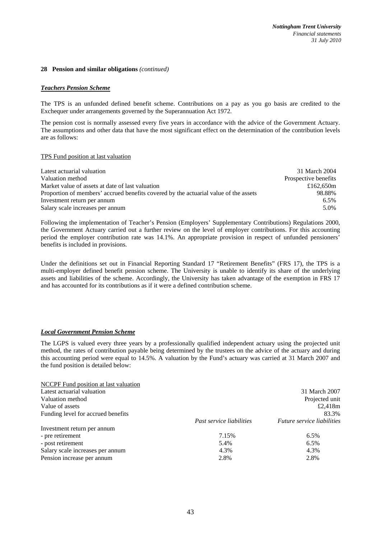#### **28 Pension and similar obligations** *(continued)*

#### *Teachers Pension Scheme*

The TPS is an unfunded defined benefit scheme. Contributions on a pay as you go basis are credited to the Exchequer under arrangements governed by the Superannuation Act 1972.

The pension cost is normally assessed every five years in accordance with the advice of the Government Actuary. The assumptions and other data that have the most significant effect on the determination of the contribution levels are as follows:

#### TPS Fund position at last valuation

| Latest actuarial valuation                                                           | 31 March 2004        |
|--------------------------------------------------------------------------------------|----------------------|
| Valuation method                                                                     | Prospective benefits |
| Market value of assets at date of last valuation                                     | £162.650m            |
| Proportion of members' accrued benefits covered by the actuarial value of the assets | 98.88%               |
| Investment return per annum                                                          | 6.5%                 |
| Salary scale increases per annum                                                     | 5.0%                 |

Following the implementation of Teacher's Pension (Employers' Supplementary Contributions) Regulations 2000, the Government Actuary carried out a further review on the level of employer contributions. For this accounting period the employer contribution rate was 14.1%. An appropriate provision in respect of unfunded pensioners' benefits is included in provisions.

Under the definitions set out in Financial Reporting Standard 17 "Retirement Benefits" (FRS 17), the TPS is a multi-employer defined benefit pension scheme. The University is unable to identify its share of the underlying assets and liabilities of the scheme. Accordingly, the University has taken advantage of the exemption in FRS 17 and has accounted for its contributions as if it were a defined contribution scheme.

#### *Local Government Pension Scheme*

The LGPS is valued every three years by a professionally qualified independent actuary using the projected unit method, the rates of contribution payable being determined by the trustees on the advice of the actuary and during this accounting period were equal to 14.5%. A valuation by the Fund's actuary was carried at 31 March 2007 and the fund position is detailed below:

| NCCPF Fund position at last valuation |                          |                                   |
|---------------------------------------|--------------------------|-----------------------------------|
| Latest actuarial valuation            |                          | 31 March 2007                     |
| Valuation method                      |                          | Projected unit                    |
| Value of assets                       |                          | £2,418 $m$                        |
| Funding level for accrued benefits    |                          | 83.3%                             |
|                                       | Past service liabilities | <i>Future service liabilities</i> |
| Investment return per annum           |                          |                                   |
| - pre retirement                      | 7.15%                    | 6.5%                              |
| - post retirement                     | 5.4%                     | $6.5\%$                           |
| Salary scale increases per annum      | 4.3%                     | 4.3%                              |
| Pension increase per annum            | 2.8%                     | 2.8%                              |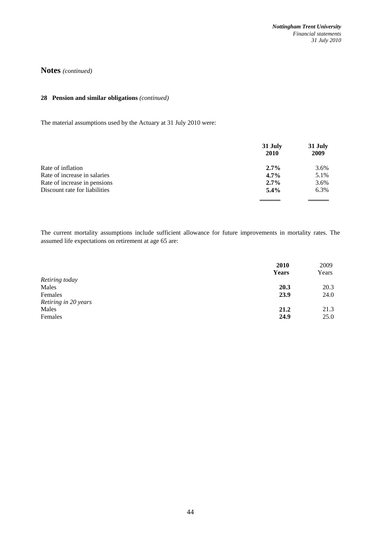## **28 Pension and similar obligations** *(continued)*

The material assumptions used by the Actuary at 31 July 2010 were:

|                               | 31 July<br><b>2010</b> | 31 July<br>2009 |
|-------------------------------|------------------------|-----------------|
| Rate of inflation             | $2.7\%$                | 3.6%            |
| Rate of increase in salaries  | $4.7\%$                | 5.1%            |
| Rate of increase in pensions  | $2.7\%$                | 3.6%            |
| Discount rate for liabilities | $5.4\%$                | 6.3%            |
|                               |                        |                 |

The current mortality assumptions include sufficient allowance for future improvements in mortality rates. The assumed life expectations on retirement at age 65 are:

|                      | 2010<br><b>Years</b> | 2009<br>Years |
|----------------------|----------------------|---------------|
| Retiring today       |                      |               |
| Males                | 20.3                 | 20.3          |
| Females              | 23.9                 | 24.0          |
| Retiring in 20 years |                      |               |
| Males                | 21.2                 | 21.3          |
| Females              | 24.9                 | 25.0          |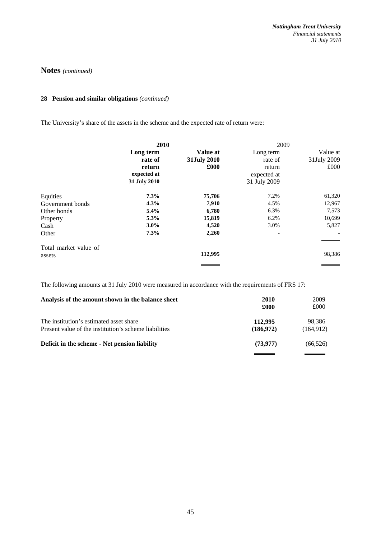## **28 Pension and similar obligations** *(continued)*

The University's share of the assets in the scheme and the expected rate of return were:

|                                 | 2010                                                          |                                 | 2009                                                          |                                 |
|---------------------------------|---------------------------------------------------------------|---------------------------------|---------------------------------------------------------------|---------------------------------|
|                                 | Long term<br>rate of<br>return<br>expected at<br>31 July 2010 | Value at<br>31July 2010<br>£000 | Long term<br>rate of<br>return<br>expected at<br>31 July 2009 | Value at<br>31July 2009<br>£000 |
| Equities                        | 7.3%                                                          | 75,706                          | 7.2%                                                          | 61,320                          |
| Government bonds                | 4.3%                                                          | 7,910                           | 4.5%                                                          | 12,967                          |
| Other bonds                     | 5.4%                                                          | 6,780                           | 6.3%                                                          | 7,573                           |
| Property                        | 5.3%                                                          | 15,819                          | 6.2%                                                          | 10,699                          |
| Cash                            | $3.0\%$                                                       | 4,520                           | 3.0%                                                          | 5,827                           |
| Other                           | 7.3%                                                          | 2,260                           | ۰                                                             |                                 |
| Total market value of<br>assets |                                                               | 112,995                         |                                                               | 98,386                          |

The following amounts at 31 July 2010 were measured in accordance with the requirements of FRS 17:

| Analysis of the amount shown in the balance sheet                                                | 2010<br>£000          | 2009<br>£000         |
|--------------------------------------------------------------------------------------------------|-----------------------|----------------------|
| The institution's estimated asset share<br>Present value of the institution's scheme liabilities | 112,995<br>(186, 972) | 98.386<br>(164, 912) |
| Deficit in the scheme - Net pension liability                                                    | (73, 977)             | (66, 526)            |
|                                                                                                  |                       |                      |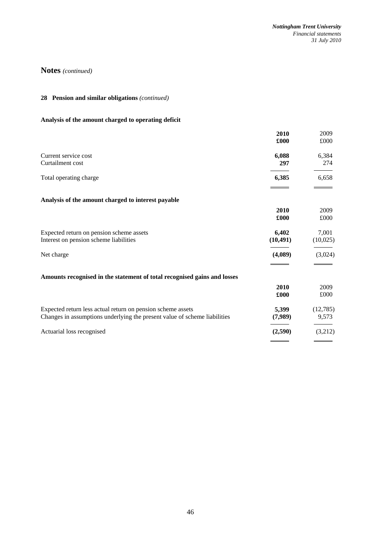## **28 Pension and similar obligations** *(continued)*

# **Analysis of the amount charged to operating deficit**

|                                                                           | 2010<br>£000 | 2009<br>£000 |
|---------------------------------------------------------------------------|--------------|--------------|
|                                                                           |              |              |
| Current service cost                                                      | 6,088        | 6,384        |
| Curtailment cost                                                          | 297          | 274          |
| Total operating charge                                                    | 6,385        | 6,658        |
|                                                                           |              |              |
| Analysis of the amount charged to interest payable                        |              |              |
|                                                                           | 2010         | 2009         |
|                                                                           | £000         | £000         |
| Expected return on pension scheme assets                                  | 6,402        | 7,001        |
| Interest on pension scheme liabilities                                    | (10, 491)    | (10,025)     |
| Net charge                                                                | (4,089)      | (3,024)      |
|                                                                           |              |              |
| Amounts recognised in the statement of total recognised gains and losses  |              |              |
|                                                                           | 2010         | 2009         |
|                                                                           | £000         | £000         |
| Expected return less actual return on pension scheme assets               | 5,399        | (12,785)     |
| Changes in assumptions underlying the present value of scheme liabilities | (7,989)      | 9,573        |
| Actuarial loss recognised                                                 | (2,590)      | (3,212)      |
|                                                                           |              |              |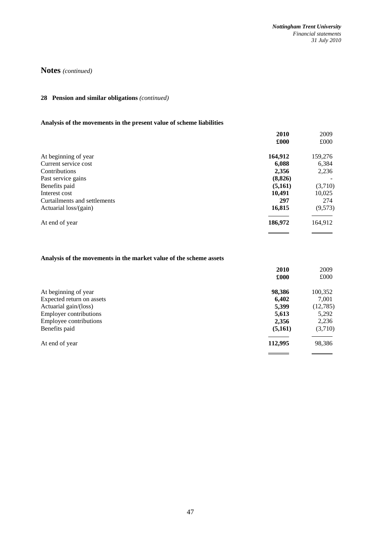## **28 Pension and similar obligations** *(continued)*

# **Analysis of the movements in the present value of scheme liabilities**

| 2010     | 2009    |
|----------|---------|
| £000     | £000    |
| 164,912  | 159,276 |
| 6,088    | 6,384   |
| 2,356    | 2,236   |
| (8, 826) |         |
| (5,161)  | (3,710) |
| 10,491   | 10,025  |
| 297      | 274     |
| 16,815   | (9,573) |
| 186,972  | 164,912 |
|          |         |

# **Analysis of the movements in the market value of the scheme assets**

|                               | 2010    | 2009     |
|-------------------------------|---------|----------|
|                               | £000    | £000     |
| At beginning of year          | 98,386  | 100,352  |
| Expected return on assets     | 6,402   | 7,001    |
| Actuarial gain/(loss)         | 5,399   | (12,785) |
| <b>Employer contributions</b> | 5,613   | 5,292    |
| Employee contributions        | 2,356   | 2,236    |
| Benefits paid                 | (5,161) | (3,710)  |
| At end of year                | 112,995 | 98,386   |
|                               |         |          |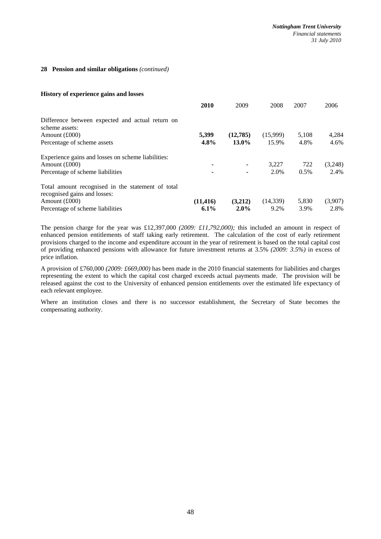#### **28 Pension and similar obligations** *(continued)*

#### **History of experience gains and losses**

|                                                                                   | 2010      | 2009     | 2008      | 2007  | 2006    |
|-----------------------------------------------------------------------------------|-----------|----------|-----------|-------|---------|
| Difference between expected and actual return on<br>scheme assets:                |           |          |           |       |         |
| Amount $(\text{\pounds}000)$                                                      | 5.399     | (12,785) | (15,999)  | 5,108 | 4,284   |
| Percentage of scheme assets                                                       | $4.8\%$   | 13.0%    | 15.9%     | 4.8%  | 4.6%    |
| Experience gains and losses on scheme liabilities:                                |           |          |           |       |         |
| Amount $(\text{\pounds}000)$                                                      | ٠         | ۰        | 3.227     | 722   | (3,248) |
| Percentage of scheme liabilities                                                  | ۰         |          | 2.0%      | 0.5%  | 2.4%    |
| Total amount recognised in the statement of total<br>recognised gains and losses: |           |          |           |       |         |
| Amount $(\text{\pounds}000)$                                                      | (11, 416) | (3,212)  | (14, 339) | 5,830 | (3,907) |
| Percentage of scheme liabilities                                                  | $6.1\%$   | $2.0\%$  | 9.2%      | 3.9%  | 2.8%    |

The pension charge for the year was £12,397,000 *(2009: £11,792,000);* this included an amount in respect of enhanced pension entitlements of staff taking early retirement. The calculation of the cost of early retirement provisions charged to the income and expenditure account in the year of retirement is based on the total capital cost of providing enhanced pensions with allowance for future investment returns at 3.5% *(2009: 3.5%)* in excess of price inflation.

A provision of £760,000 *(2009: £669,000)* has been made in the 2010 financial statements for liabilities and charges representing the extent to which the capital cost charged exceeds actual payments made. The provision will be released against the cost to the University of enhanced pension entitlements over the estimated life expectancy of each relevant employee.

Where an institution closes and there is no successor establishment, the Secretary of State becomes the compensating authority.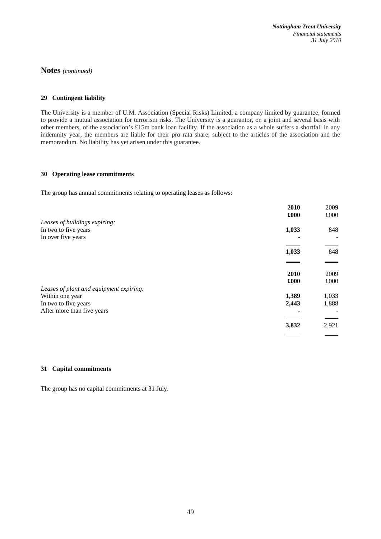#### **29 Contingent liability**

The University is a member of U.M. Association (Special Risks) Limited, a company limited by guarantee, formed to provide a mutual association for terrorism risks. The University is a guarantor, on a joint and several basis with other members, of the association's £15m bank loan facility. If the association as a whole suffers a shortfall in any indemnity year, the members are liable for their pro rata share, subject to the articles of the association and the memorandum. No liability has yet arisen under this guarantee.

#### **30 Operating lease commitments**

The group has annual commitments relating to operating leases as follows:

|                                         | 2010  | 2009  |
|-----------------------------------------|-------|-------|
|                                         | £000  | £000  |
| Leases of buildings expiring:           |       |       |
| In two to five years                    | 1,033 | 848   |
| In over five years                      |       |       |
|                                         |       |       |
|                                         | 1,033 | 848   |
|                                         |       |       |
|                                         | 2010  | 2009  |
|                                         | £000  | £000  |
| Leases of plant and equipment expiring: |       |       |
| Within one year                         | 1,389 | 1,033 |
| In two to five years                    | 2,443 | 1,888 |
| After more than five years              |       |       |
|                                         |       |       |
|                                         | 3,832 | 2,921 |
|                                         |       |       |

#### **31 Capital commitments**

The group has no capital commitments at 31 July.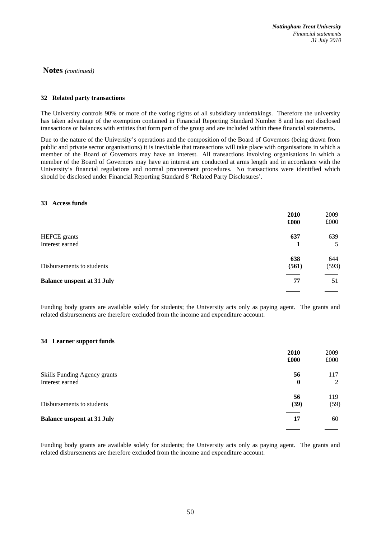#### **32 Related party transactions**

The University controls 90% or more of the voting rights of all subsidiary undertakings. Therefore the university has taken advantage of the exemption contained in Financial Reporting Standard Number 8 and has not disclosed transactions or balances with entities that form part of the group and are included within these financial statements.

Due to the nature of the University's operations and the composition of the Board of Governors (being drawn from public and private sector organisations) it is inevitable that transactions will take place with organisations in which a member of the Board of Governors may have an interest. All transactions involving organisations in which a member of the Board of Governors may have an interest are conducted at arms length and in accordance with the University's financial regulations and normal procurement procedures. No transactions were identified which should be disclosed under Financial Reporting Standard 8 'Related Party Disclosures'.

#### **33 Access funds**

|                                   | 2010<br>£000 | 2009<br>£000 |
|-----------------------------------|--------------|--------------|
| <b>HEFCE</b> grants               | 637          | 639          |
| Interest earned                   |              | 5            |
|                                   | 638          | 644          |
| Disbursements to students         | (561)        | (593)        |
| <b>Balance unspent at 31 July</b> | 77           | 51           |
|                                   |              |              |

Funding body grants are available solely for students; the University acts only as paying agent. The grants and related disbursements are therefore excluded from the income and expenditure account.

#### **34 Learner support funds**

|                                   | 2010             | 2009 |
|-----------------------------------|------------------|------|
|                                   | £000             | £000 |
| Skills Funding Agency grants      | 56               | 117  |
| Interest earned                   | $\boldsymbol{0}$ | 2    |
|                                   | 56               | 119  |
| Disbursements to students         | (39)             | (59) |
| <b>Balance unspent at 31 July</b> | 17               | 60   |

Funding body grants are available solely for students; the University acts only as paying agent. The grants and related disbursements are therefore excluded from the income and expenditure account.